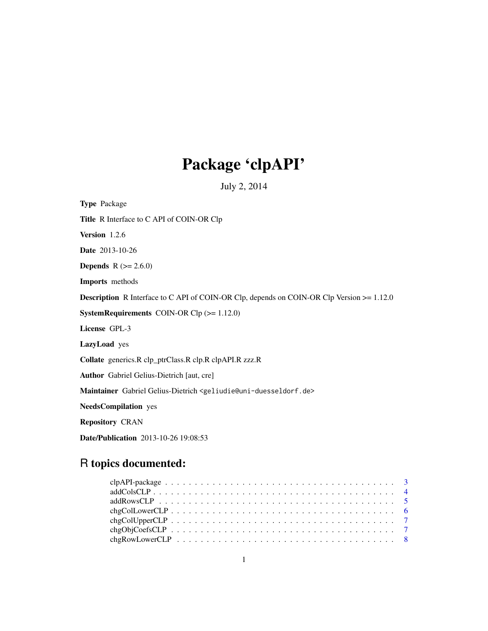# Package 'clpAPI'

July 2, 2014

Type Package Title R Interface to C API of COIN-OR Clp Version 1.2.6 Date 2013-10-26 **Depends**  $R (= 2.6.0)$ Imports methods Description R Interface to C API of COIN-OR Clp, depends on COIN-OR Clp Version >= 1.12.0 SystemRequirements COIN-OR Clp (>= 1.12.0) License GPL-3 LazyLoad yes Collate generics.R clp\_ptrClass.R clp.R clpAPI.R zzz.R Author Gabriel Gelius-Dietrich [aut, cre] Maintainer Gabriel Gelius-Dietrich <geliudie@uni-duesseldorf.de> NeedsCompilation yes Repository CRAN Date/Publication 2013-10-26 19:08:53

# R topics documented: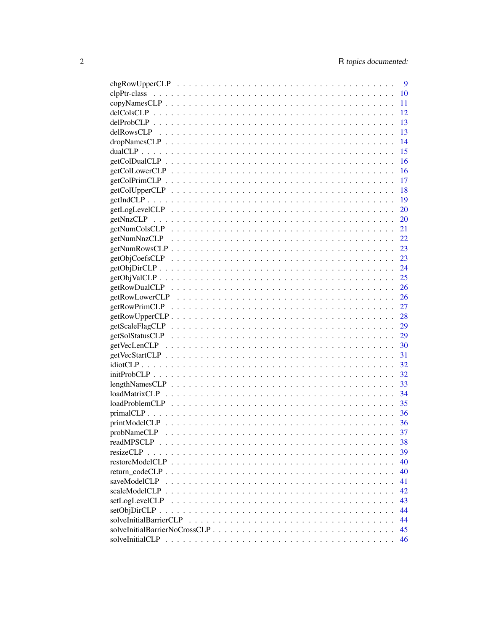|                        | 9         |
|------------------------|-----------|
|                        | 10        |
|                        | 11        |
|                        | 12        |
|                        | 13        |
|                        | 13        |
|                        | 14        |
|                        | 15        |
|                        | 16        |
|                        | 16        |
|                        | 17        |
|                        | 18        |
|                        | <b>19</b> |
|                        | 20        |
|                        | <b>20</b> |
|                        | 21        |
|                        | 22        |
|                        | 23        |
|                        | 23        |
|                        | 24        |
|                        | 25        |
|                        | 26        |
|                        | 26        |
|                        | 27        |
|                        | 28        |
|                        | 29        |
|                        | 29        |
|                        |           |
|                        |           |
|                        |           |
|                        |           |
|                        | 33        |
|                        | 34        |
|                        | 35        |
|                        | 36        |
|                        | 36        |
|                        | 37        |
|                        | 38        |
|                        | 39        |
|                        | 40        |
|                        | 40        |
|                        | 41        |
|                        | 42        |
| setLogLevelCLP         | 43        |
|                        | 44        |
| solveInitialBarrierCLP | 44        |
|                        | 45        |
|                        | 46        |
|                        |           |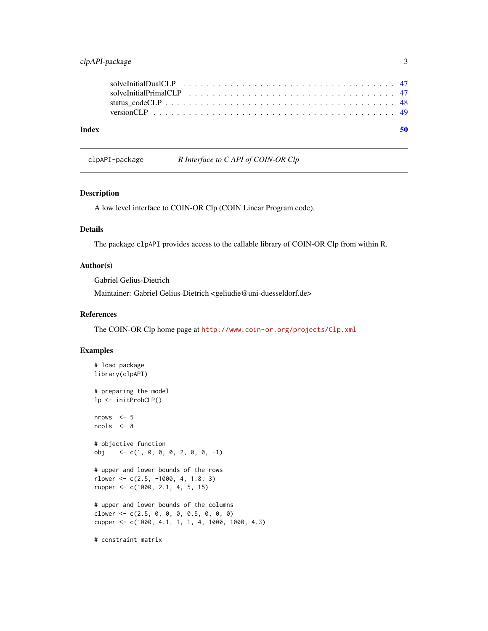# <span id="page-2-0"></span>clpAPI-package 3

| Index |  |  |  |  |  |  |  |  |  |  |  |  |  |  |  |  |  |  | 50 |
|-------|--|--|--|--|--|--|--|--|--|--|--|--|--|--|--|--|--|--|----|
|       |  |  |  |  |  |  |  |  |  |  |  |  |  |  |  |  |  |  |    |
|       |  |  |  |  |  |  |  |  |  |  |  |  |  |  |  |  |  |  |    |
|       |  |  |  |  |  |  |  |  |  |  |  |  |  |  |  |  |  |  |    |

# clpAPI-package *R Interface to C API of COIN-OR Clp*

### Description

A low level interface to COIN-OR Clp (COIN Linear Program code).

### Details

The package clpAPI provides access to the callable library of COIN-OR Clp from within R.

### Author(s)

Gabriel Gelius-Dietrich

Maintainer: Gabriel Gelius-Dietrich <geliudie@uni-duesseldorf.de>

### References

The COIN-OR Clp home page at <http://www.coin-or.org/projects/Clp.xml>

### Examples

```
# load package
library(clpAPI)
# preparing the model
lp <- initProbCLP()
nrows <-5ncols <- 8
# objective function
obj <- c(1, 0, 0, 0, 2, 0, 0, -1)
# upper and lower bounds of the rows
rlower \leq c(2.5, -1000, 4, 1.8, 3)
rupper <- c(1000, 2.1, 4, 5, 15)
# upper and lower bounds of the columns
clower <- c(2.5, 0, 0, 0, 0.5, 0, 0, 0)cupper <- c(1000, 4.1, 1, 1, 4, 1000, 1000, 4.3)
```
# constraint matrix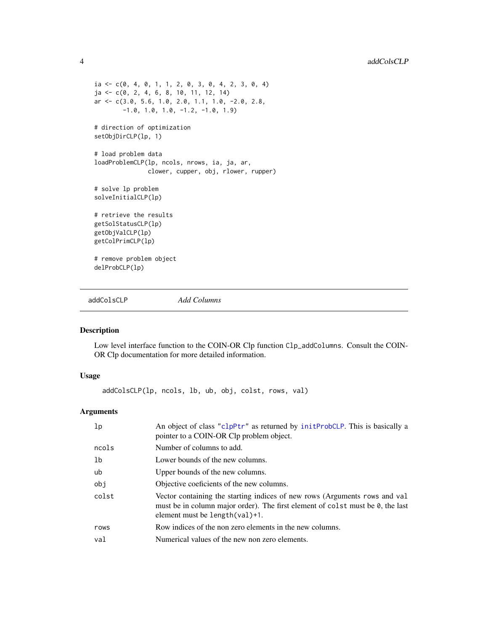```
ia \leftarrow c(0, 4, 0, 1, 1, 2, 0, 3, 0, 4, 2, 3, 0, 4)ja <- c(0, 2, 4, 6, 8, 10, 11, 12, 14)
ar <- c(3.0, 5.6, 1.0, 2.0, 1.1, 1.0, -2.0, 2.8,
        -1.0, 1.0, 1.0, -1.2, -1.0, 1.9)
# direction of optimization
setObjDirCLP(lp, 1)
# load problem data
loadProblemCLP(lp, ncols, nrows, ia, ja, ar,
               clower, cupper, obj, rlower, rupper)
# solve lp problem
solveInitialCLP(lp)
# retrieve the results
getSolStatusCLP(lp)
getObjValCLP(lp)
getColPrimCLP(lp)
# remove problem object
delProbCLP(lp)
```
addColsCLP *Add Columns*

#### Description

Low level interface function to the COIN-OR Clp function Clp\_addColumns. Consult the COIN-OR Clp documentation for more detailed information.

### Usage

addColsCLP(lp, ncols, lb, ub, obj, colst, rows, val)

# Arguments

| lp    | An object of class "clpPtr" as returned by initProbCLP. This is basically a<br>pointer to a COIN-OR Clp problem object.                                                                                   |
|-------|-----------------------------------------------------------------------------------------------------------------------------------------------------------------------------------------------------------|
| ncols | Number of columns to add.                                                                                                                                                                                 |
| lb    | Lower bounds of the new columns.                                                                                                                                                                          |
| ub    | Upper bounds of the new columns.                                                                                                                                                                          |
| obi   | Objective coeficients of the new columns.                                                                                                                                                                 |
| colst | Vector containing the starting indices of new rows (Arguments rows and val<br>must be in column major order). The first element of colst must be 0, the last<br>element must be length $\text{(val)}+1$ . |
| rows  | Row indices of the non zero elements in the new columns.                                                                                                                                                  |
| val   | Numerical values of the new non zero elements.                                                                                                                                                            |

<span id="page-3-0"></span>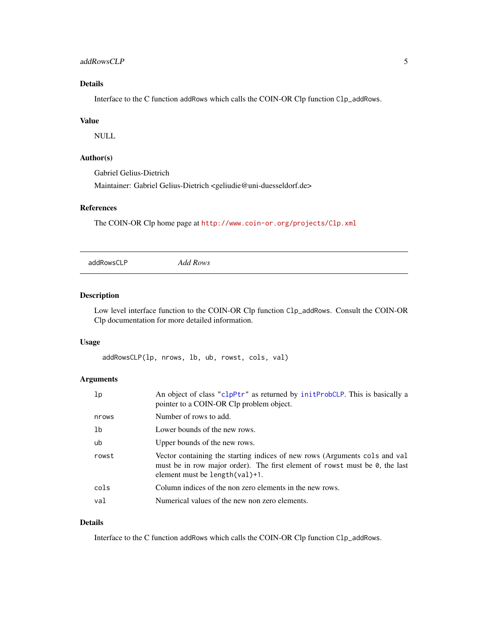#### <span id="page-4-0"></span>addRowsCLP 5

# Details

Interface to the C function addRows which calls the COIN-OR Clp function Clp\_addRows.

### Value

NULL

# Author(s)

Gabriel Gelius-Dietrich

Maintainer: Gabriel Gelius-Dietrich <geliudie@uni-duesseldorf.de>

#### References

The COIN-OR Clp home page at <http://www.coin-or.org/projects/Clp.xml>

addRowsCLP *Add Rows*

#### Description

Low level interface function to the COIN-OR Clp function Clp\_addRows. Consult the COIN-OR Clp documentation for more detailed information.

# Usage

addRowsCLP(lp, nrows, lb, ub, rowst, cols, val)

# Arguments

| 1p             | An object of class "clpPtr" as returned by initProbCLP. This is basically a<br>pointer to a COIN-OR Clp problem object.                                                                        |
|----------------|------------------------------------------------------------------------------------------------------------------------------------------------------------------------------------------------|
| nrows          | Number of rows to add.                                                                                                                                                                         |
| 1 <sub>b</sub> | Lower bounds of the new rows.                                                                                                                                                                  |
| ub             | Upper bounds of the new rows.                                                                                                                                                                  |
| rowst          | Vector containing the starting indices of new rows (Arguments cols and val<br>must be in row major order). The first element of rowst must be 0, the last<br>element must be $length(va1)+1$ . |
| cols           | Column indices of the non zero elements in the new rows.                                                                                                                                       |
| val            | Numerical values of the new non zero elements.                                                                                                                                                 |

# Details

Interface to the C function addRows which calls the COIN-OR Clp function Clp\_addRows.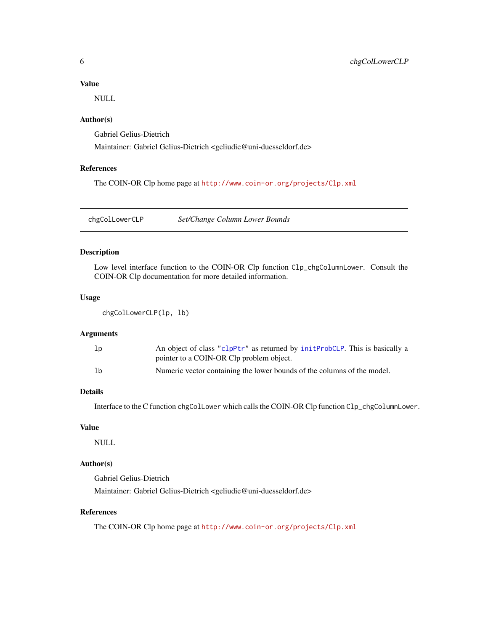### <span id="page-5-0"></span>Value

NULL

### Author(s)

Gabriel Gelius-Dietrich

Maintainer: Gabriel Gelius-Dietrich <geliudie@uni-duesseldorf.de>

#### References

The COIN-OR Clp home page at <http://www.coin-or.org/projects/Clp.xml>

chgColLowerCLP *Set/Change Column Lower Bounds*

#### Description

Low level interface function to the COIN-OR Clp function Clp\_chgColumnLower. Consult the COIN-OR Clp documentation for more detailed information.

### Usage

```
chgColLowerCLP(lp, lb)
```
### Arguments

| lp | An object of class "clpPtr" as returned by initProbCLP. This is basically a |
|----|-----------------------------------------------------------------------------|
|    | pointer to a COIN-OR Clp problem object.                                    |
| 1b | Numeric vector containing the lower bounds of the columns of the model.     |

### Details

Interface to the C function chgColLower which calls the COIN-OR Clp function Clp\_chgColumnLower.

### Value

NULL

# Author(s)

Gabriel Gelius-Dietrich Maintainer: Gabriel Gelius-Dietrich <geliudie@uni-duesseldorf.de>

### References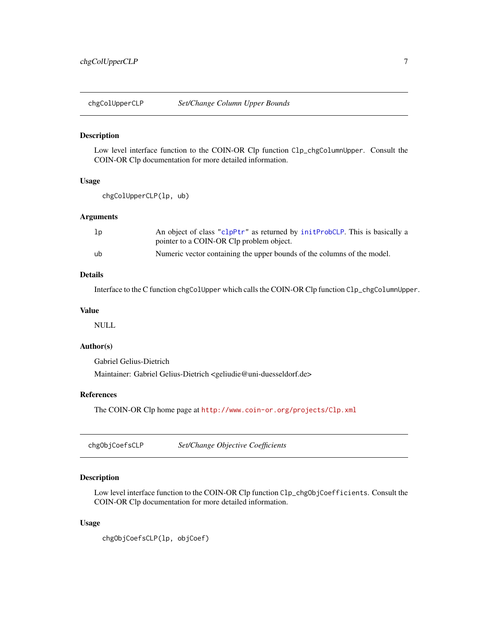<span id="page-6-0"></span>

Low level interface function to the COIN-OR Clp function Clp\_chgColumnUpper. Consult the COIN-OR Clp documentation for more detailed information.

### Usage

```
chgColUpperCLP(lp, ub)
```
### **Arguments**

| lp | An object of class "clpPtr" as returned by initProbCLP. This is basically a |
|----|-----------------------------------------------------------------------------|
|    | pointer to a COIN-OR Clp problem object.                                    |
| ub | Numeric vector containing the upper bounds of the columns of the model.     |

### Details

Interface to the C function chgColUpper which calls the COIN-OR Clp function Clp\_chgColumnUpper.

#### Value

NULL

### Author(s)

Gabriel Gelius-Dietrich

Maintainer: Gabriel Gelius-Dietrich <geliudie@uni-duesseldorf.de>

### References

The COIN-OR Clp home page at <http://www.coin-or.org/projects/Clp.xml>

chgObjCoefsCLP *Set/Change Objective Coefficients*

### Description

Low level interface function to the COIN-OR Clp function Clp\_chgObjCoefficients. Consult the COIN-OR Clp documentation for more detailed information.

#### Usage

```
chgObjCoefsCLP(lp, objCoef)
```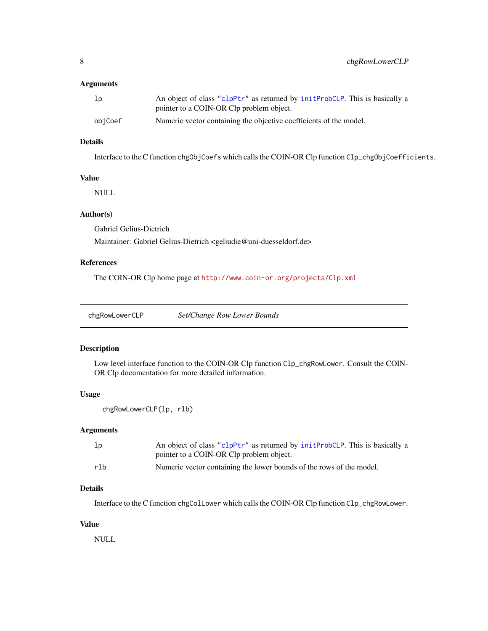# <span id="page-7-0"></span>Arguments

| 1 <sub>p</sub> | An object of class "clpPtr" as returned by initProbCLP. This is basically a |
|----------------|-----------------------------------------------------------------------------|
|                | pointer to a COIN-OR Clp problem object.                                    |
| obiCoef        | Numeric vector containing the objective coefficients of the model.          |

# Details

Interface to the C function chgObjCoefs which calls the COIN-OR Clp function Clp\_chgObjCoefficients.

### Value

NULL

# Author(s)

Gabriel Gelius-Dietrich

Maintainer: Gabriel Gelius-Dietrich <geliudie@uni-duesseldorf.de>

# References

The COIN-OR Clp home page at <http://www.coin-or.org/projects/Clp.xml>

chgRowLowerCLP *Set/Change Row Lower Bounds*

### Description

Low level interface function to the COIN-OR Clp function Clp\_chgRowLower. Consult the COIN-OR Clp documentation for more detailed information.

# Usage

```
chgRowLowerCLP(lp, rlb)
```
### Arguments

| 1 <sub>p</sub> | An object of class "clpPtr" as returned by initProbCLP. This is basically a |
|----------------|-----------------------------------------------------------------------------|
|                | pointer to a COIN-OR Clp problem object.                                    |
| rlb            | Numeric vector containing the lower bounds of the rows of the model.        |

### Details

Interface to the C function chgColLower which calls the COIN-OR Clp function Clp\_chgRowLower.

### Value

NULL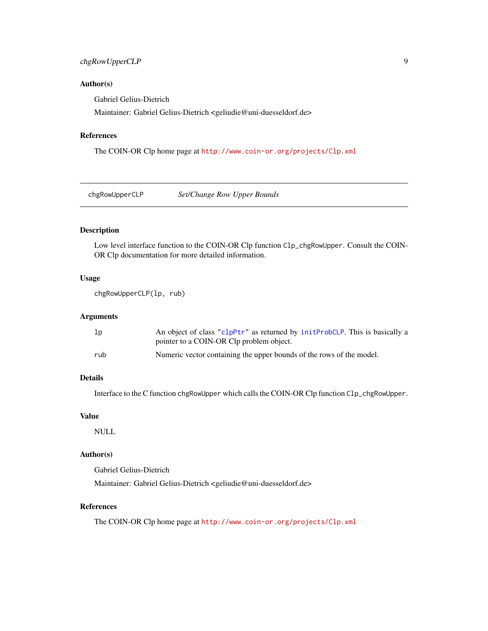### <span id="page-8-0"></span>chgRowUpperCLP 9

### Author(s)

Gabriel Gelius-Dietrich

Maintainer: Gabriel Gelius-Dietrich <geliudie@uni-duesseldorf.de>

# References

The COIN-OR Clp home page at <http://www.coin-or.org/projects/Clp.xml>

chgRowUpperCLP *Set/Change Row Upper Bounds*

# Description

Low level interface function to the COIN-OR Clp function Clp\_chgRowUpper. Consult the COIN-OR Clp documentation for more detailed information.

# Usage

chgRowUpperCLP(lp, rub)

# Arguments

| 1 <sub>p</sub> | An object of class "clpPtr" as returned by initervolustion. This is basically a |
|----------------|---------------------------------------------------------------------------------|
|                | pointer to a COIN-OR Clp problem object.                                        |
| rub            | Numeric vector containing the upper bounds of the rows of the model.            |

# Details

Interface to the C function chgRowUpper which calls the COIN-OR Clp function Clp\_chgRowUpper.

### Value

NULL

### Author(s)

Gabriel Gelius-Dietrich

Maintainer: Gabriel Gelius-Dietrich <geliudie@uni-duesseldorf.de>

### References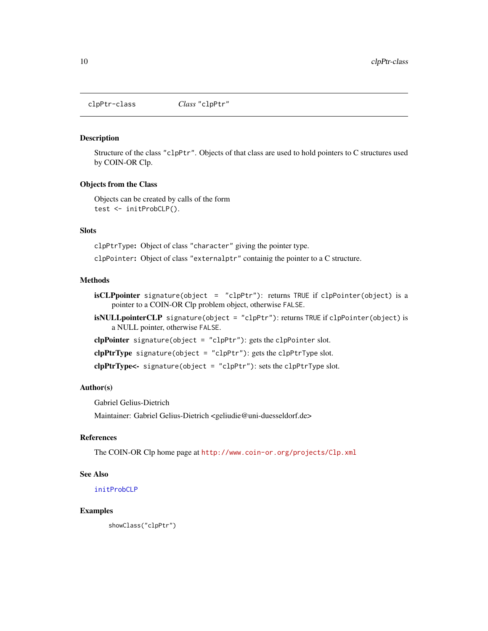<span id="page-9-1"></span><span id="page-9-0"></span>clpPtr-class *Class* "clpPtr"

#### Description

Structure of the class "clpPtr". Objects of that class are used to hold pointers to C structures used by COIN-OR Clp.

#### Objects from the Class

Objects can be created by calls of the form test <- initProbCLP().

# **Slots**

clpPtrType: Object of class "character" giving the pointer type.

clpPointer: Object of class "externalptr" containig the pointer to a C structure.

### **Methods**

- isCLPpointer signature(object = "clpPtr"): returns TRUE if clpPointer(object) is a pointer to a COIN-OR Clp problem object, otherwise FALSE.
- isNULLpointerCLP signature(object = "clpPtr"): returns TRUE if clpPointer(object) is a NULL pointer, otherwise FALSE.

clpPointer signature(object = "clpPtr"): gets the clpPointer slot.

clpPtrType signature(object = "clpPtr"): gets the clpPtrType slot.

clpPtrType<- signature(object = "clpPtr"): sets the clpPtrType slot.

#### Author(s)

Gabriel Gelius-Dietrich

Maintainer: Gabriel Gelius-Dietrich <geliudie@uni-duesseldorf.de>

#### References

The COIN-OR Clp home page at <http://www.coin-or.org/projects/Clp.xml>

### See Also

[initProbCLP](#page-31-1)

### Examples

showClass("clpPtr")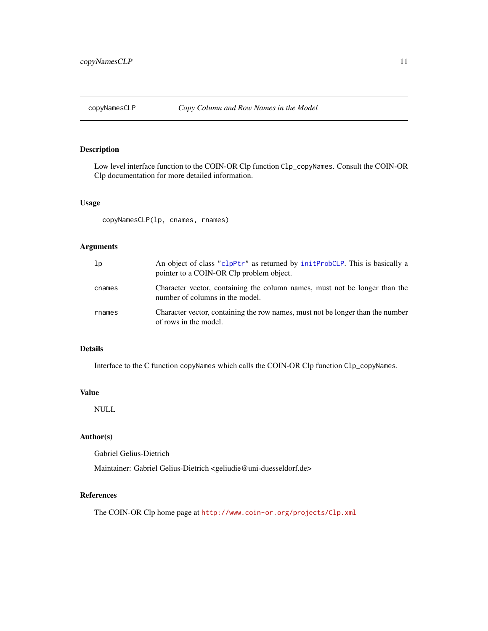<span id="page-10-0"></span>

Low level interface function to the COIN-OR Clp function Clp\_copyNames. Consult the COIN-OR Clp documentation for more detailed information.

#### Usage

copyNamesCLP(lp, cnames, rnames)

### Arguments

| 1 <sub>p</sub> | An object of class "clpPtr" as returned by initProbCLP. This is basically a<br>pointer to a COIN-OR Clp problem object. |
|----------------|-------------------------------------------------------------------------------------------------------------------------|
| cnames         | Character vector, containing the column names, must not be longer than the<br>number of columns in the model.           |
| rnames         | Character vector, containing the row names, must not be longer than the number<br>of rows in the model.                 |

### Details

Interface to the C function copyNames which calls the COIN-OR Clp function Clp\_copyNames.

### Value

NULL

### Author(s)

Gabriel Gelius-Dietrich

Maintainer: Gabriel Gelius-Dietrich <geliudie@uni-duesseldorf.de>

# References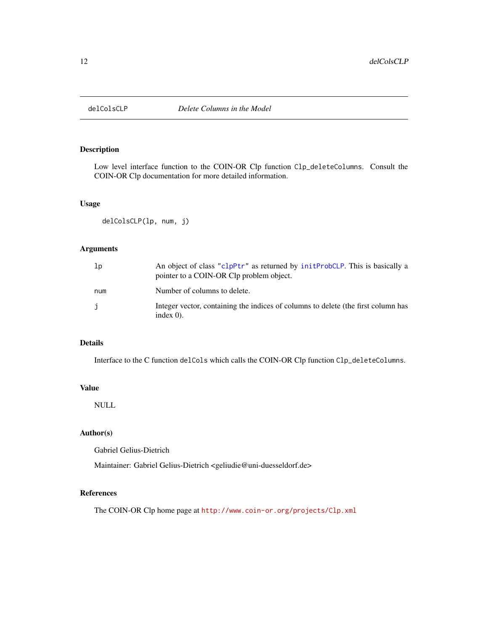<span id="page-11-1"></span><span id="page-11-0"></span>

Low level interface function to the COIN-OR Clp function Clp\_deleteColumns. Consult the COIN-OR Clp documentation for more detailed information.

#### Usage

```
delColsCLP(lp, num, j)
```
### Arguments

| 1p  | An object of class "clpPtr" as returned by initProbCLP. This is basically a<br>pointer to a COIN-OR Clp problem object. |
|-----|-------------------------------------------------------------------------------------------------------------------------|
| num | Number of columns to delete.                                                                                            |
| j   | Integer vector, containing the indices of columns to delete (the first column has<br>index $0$ ).                       |

### Details

Interface to the C function delCols which calls the COIN-OR Clp function Clp\_deleteColumns.

### Value

NULL

# Author(s)

Gabriel Gelius-Dietrich

Maintainer: Gabriel Gelius-Dietrich <geliudie@uni-duesseldorf.de>

# References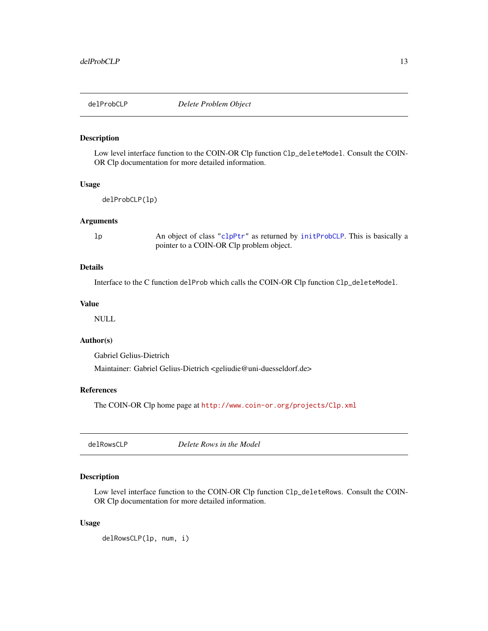<span id="page-12-0"></span>

Low level interface function to the COIN-OR Clp function Clp\_deleteModel. Consult the COIN-OR Clp documentation for more detailed information.

#### Usage

delProbCLP(lp)

#### Arguments

lp An object of class ["clpPtr"](#page-9-1) as returned by [initProbCLP](#page-31-1). This is basically a pointer to a COIN-OR Clp problem object.

## Details

Interface to the C function delProb which calls the COIN-OR Clp function Clp\_deleteModel.

#### Value

NULL

### Author(s)

Gabriel Gelius-Dietrich

Maintainer: Gabriel Gelius-Dietrich <geliudie@uni-duesseldorf.de>

### References

The COIN-OR Clp home page at <http://www.coin-or.org/projects/Clp.xml>

<span id="page-12-1"></span>delRowsCLP *Delete Rows in the Model*

### Description

Low level interface function to the COIN-OR Clp function C1p\_deleteRows. Consult the COIN-OR Clp documentation for more detailed information.

#### Usage

delRowsCLP(lp, num, i)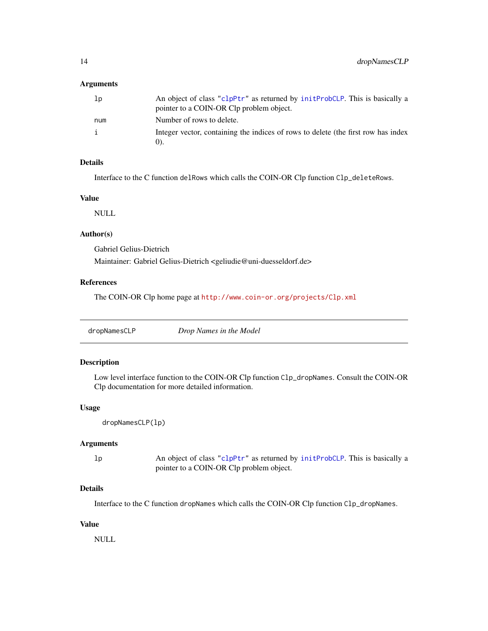### <span id="page-13-0"></span>Arguments

| lp  | An object of class "clpPtr" as returned by initProbCLP. This is basically a<br>pointer to a COIN-OR Clp problem object. |
|-----|-------------------------------------------------------------------------------------------------------------------------|
| num | Number of rows to delete.                                                                                               |
|     | Integer vector, containing the indices of rows to delete (the first row has index                                       |

# Details

Interface to the C function delRows which calls the COIN-OR Clp function Clp\_deleteRows.

### Value

NULL

# Author(s)

Gabriel Gelius-Dietrich

Maintainer: Gabriel Gelius-Dietrich <geliudie@uni-duesseldorf.de>

# References

The COIN-OR Clp home page at <http://www.coin-or.org/projects/Clp.xml>

# Description

Low level interface function to the COIN-OR Clp function Clp\_dropNames. Consult the COIN-OR Clp documentation for more detailed information.

### Usage

```
dropNamesCLP(lp)
```
# Arguments

lp An object of class ["clpPtr"](#page-9-1) as returned by [initProbCLP](#page-31-1). This is basically a pointer to a COIN-OR Clp problem object.

### Details

Interface to the C function dropNames which calls the COIN-OR Clp function Clp\_dropNames.

### Value

NULL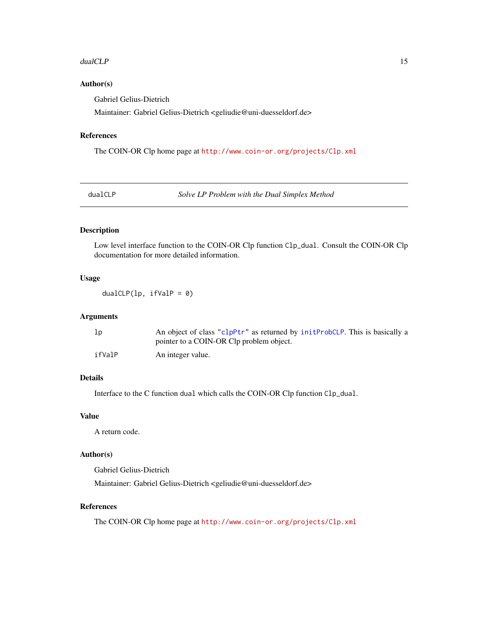#### <span id="page-14-0"></span>dualCLP 15

# Author(s)

Gabriel Gelius-Dietrich

Maintainer: Gabriel Gelius-Dietrich <geliudie@uni-duesseldorf.de>

# References

The COIN-OR Clp home page at <http://www.coin-or.org/projects/Clp.xml>

dualCLP *Solve LP Problem with the Dual Simplex Method*

# Description

Low level interface function to the COIN-OR Clp function Clp\_dual. Consult the COIN-OR Clp documentation for more detailed information.

# Usage

dualCLP(lp,  $ifValP = 0$ )

# Arguments

| lp     | An object of class "clpPtr" as returned by initProbCLP. This is basically a |
|--------|-----------------------------------------------------------------------------|
|        | pointer to a COIN-OR Clp problem object.                                    |
| ifValP | An integer value.                                                           |

# Details

Interface to the C function dual which calls the COIN-OR Clp function Clp\_dual.

### Value

A return code.

#### Author(s)

Gabriel Gelius-Dietrich

Maintainer: Gabriel Gelius-Dietrich <geliudie@uni-duesseldorf.de>

#### References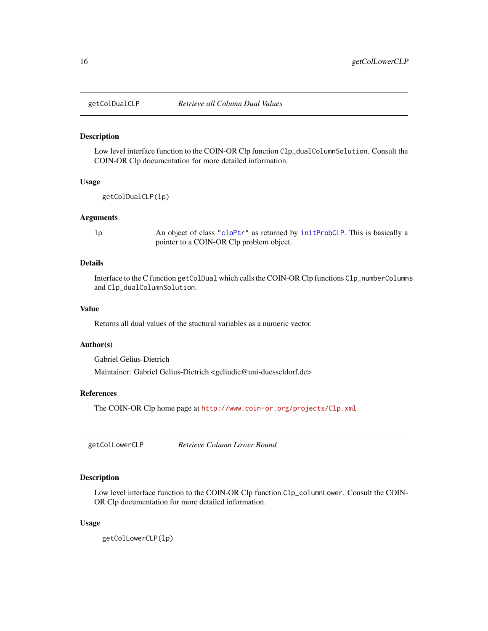<span id="page-15-0"></span>

Low level interface function to the COIN-OR Clp function Clp\_dualColumnSolution. Consult the COIN-OR Clp documentation for more detailed information.

#### Usage

getColDualCLP(lp)

#### Arguments

lp An object of class ["clpPtr"](#page-9-1) as returned by [initProbCLP](#page-31-1). This is basically a pointer to a COIN-OR Clp problem object.

### Details

Interface to the C function getColDual which calls the COIN-OR Clp functions Clp\_numberColumns and Clp\_dualColumnSolution.

### Value

Returns all dual values of the stuctural variables as a numeric vector.

#### Author(s)

Gabriel Gelius-Dietrich

Maintainer: Gabriel Gelius-Dietrich <geliudie@uni-duesseldorf.de>

### References

The COIN-OR Clp home page at <http://www.coin-or.org/projects/Clp.xml>

getColLowerCLP *Retrieve Column Lower Bound*

# Description

Low level interface function to the COIN-OR Clp function Clp\_columnLower. Consult the COIN-OR Clp documentation for more detailed information.

#### Usage

getColLowerCLP(lp)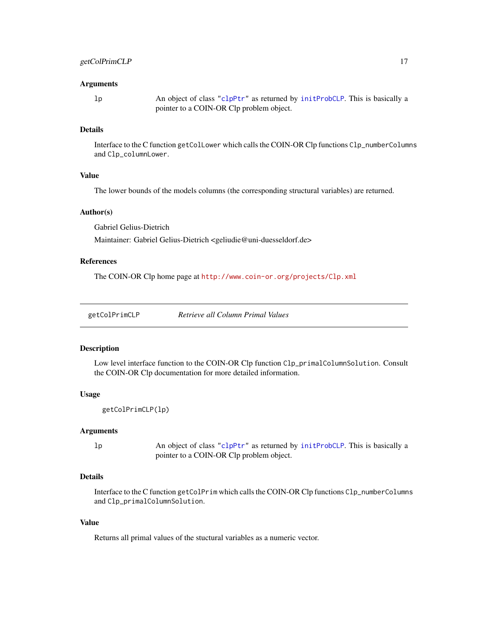#### <span id="page-16-0"></span>Arguments

lp An object of class ["clpPtr"](#page-9-1) as returned by [initProbCLP](#page-31-1). This is basically a pointer to a COIN-OR Clp problem object.

#### Details

Interface to the C function getColLower which calls the COIN-OR Clp functions Clp\_numberColumns and Clp\_columnLower.

# Value

The lower bounds of the models columns (the corresponding structural variables) are returned.

#### Author(s)

Gabriel Gelius-Dietrich

Maintainer: Gabriel Gelius-Dietrich <geliudie@uni-duesseldorf.de>

# References

The COIN-OR Clp home page at <http://www.coin-or.org/projects/Clp.xml>

getColPrimCLP *Retrieve all Column Primal Values*

#### Description

Low level interface function to the COIN-OR Clp function Clp\_primalColumnSolution. Consult the COIN-OR Clp documentation for more detailed information.

### Usage

```
getColPrimCLP(lp)
```
#### Arguments

lp An object of class ["clpPtr"](#page-9-1) as returned by [initProbCLP](#page-31-1). This is basically a pointer to a COIN-OR Clp problem object.

### Details

Interface to the C function getColPrim which calls the COIN-OR Clp functions Clp\_numberColumns and Clp\_primalColumnSolution.

### Value

Returns all primal values of the stuctural variables as a numeric vector.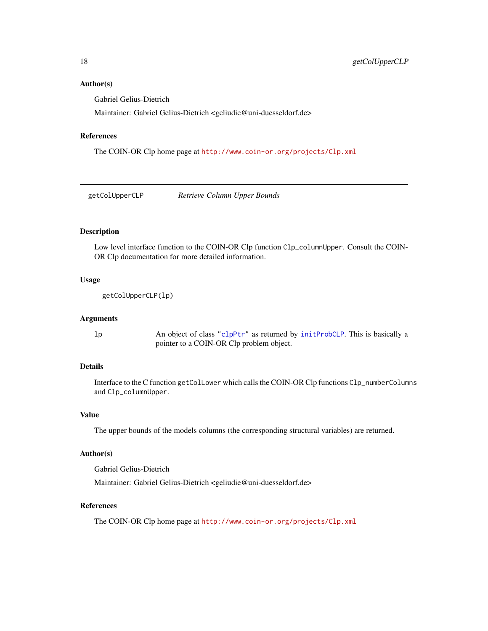### <span id="page-17-0"></span>Author(s)

Gabriel Gelius-Dietrich

Maintainer: Gabriel Gelius-Dietrich <geliudie@uni-duesseldorf.de>

#### References

The COIN-OR Clp home page at <http://www.coin-or.org/projects/Clp.xml>

getColUpperCLP *Retrieve Column Upper Bounds*

# Description

Low level interface function to the COIN-OR Clp function Clp\_columnUpper. Consult the COIN-OR Clp documentation for more detailed information.

### Usage

getColUpperCLP(lp)

#### **Arguments**

lp An object of class ["clpPtr"](#page-9-1) as returned by [initProbCLP](#page-31-1). This is basically a pointer to a COIN-OR Clp problem object.

### Details

Interface to the C function getColLower which calls the COIN-OR Clp functions Clp\_numberColumns and Clp\_columnUpper.

#### Value

The upper bounds of the models columns (the corresponding structural variables) are returned.

#### Author(s)

Gabriel Gelius-Dietrich

Maintainer: Gabriel Gelius-Dietrich <geliudie@uni-duesseldorf.de>

### References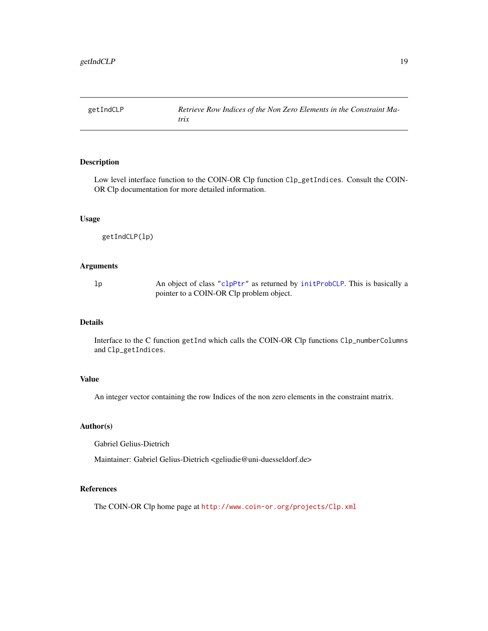<span id="page-18-0"></span>

Low level interface function to the COIN-OR Clp function Clp\_getIndices. Consult the COIN-OR Clp documentation for more detailed information.

# Usage

```
getIndCLP(lp)
```
#### Arguments

lp An object of class ["clpPtr"](#page-9-1) as returned by [initProbCLP](#page-31-1). This is basically a pointer to a COIN-OR Clp problem object.

# Details

Interface to the C function getInd which calls the COIN-OR Clp functions Clp\_numberColumns and Clp\_getIndices.

### Value

An integer vector containing the row Indices of the non zero elements in the constraint matrix.

### Author(s)

Gabriel Gelius-Dietrich

Maintainer: Gabriel Gelius-Dietrich <geliudie@uni-duesseldorf.de>

### References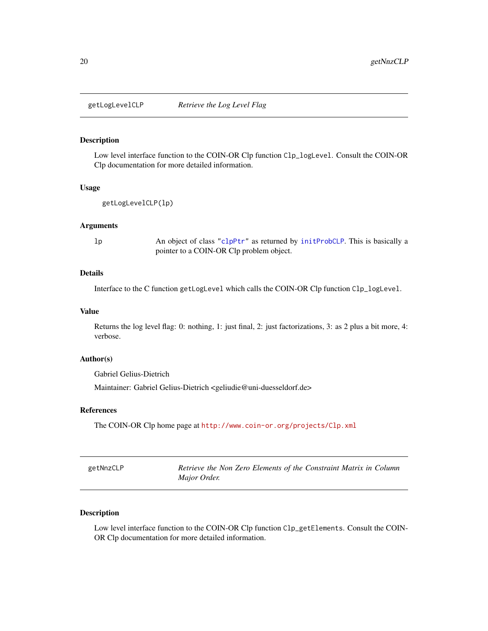<span id="page-19-0"></span>

Low level interface function to the COIN-OR Clp function Clp\_logLevel. Consult the COIN-OR Clp documentation for more detailed information.

#### Usage

```
getLogLevelCLP(lp)
```
### Arguments

lp An object of class ["clpPtr"](#page-9-1) as returned by [initProbCLP](#page-31-1). This is basically a pointer to a COIN-OR Clp problem object.

#### Details

Interface to the C function getLogLevel which calls the COIN-OR Clp function Clp\_logLevel.

### Value

Returns the log level flag: 0: nothing, 1: just final, 2: just factorizations, 3: as 2 plus a bit more, 4: verbose.

### Author(s)

Gabriel Gelius-Dietrich

Maintainer: Gabriel Gelius-Dietrich <geliudie@uni-duesseldorf.de>

#### References

The COIN-OR Clp home page at <http://www.coin-or.org/projects/Clp.xml>

| getNnzCLP | Retrieve the Non Zero Elements of the Constraint Matrix in Column |
|-----------|-------------------------------------------------------------------|
|           | Major Order.                                                      |

# Description

Low level interface function to the COIN-OR Clp function Clp\_getElements. Consult the COIN-OR Clp documentation for more detailed information.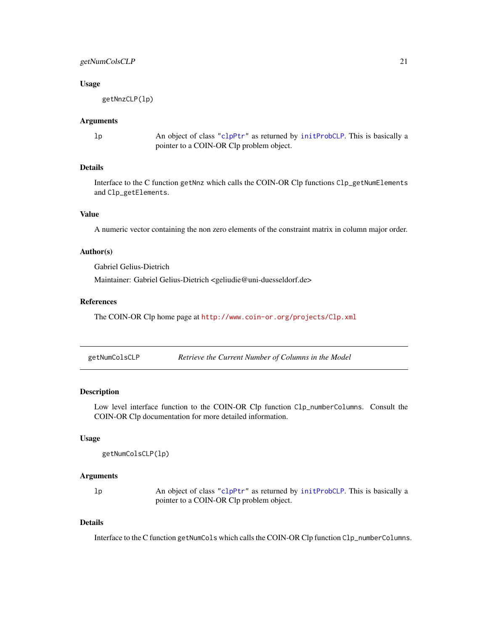### <span id="page-20-0"></span>getNumColsCLP 21

#### Usage

getNnzCLP(lp)

#### Arguments

lp An object of class ["clpPtr"](#page-9-1) as returned by [initProbCLP](#page-31-1). This is basically a pointer to a COIN-OR Clp problem object.

### Details

Interface to the C function getNnz which calls the COIN-OR Clp functions Clp\_getNumElements and Clp\_getElements.

# Value

A numeric vector containing the non zero elements of the constraint matrix in column major order.

#### Author(s)

Gabriel Gelius-Dietrich

Maintainer: Gabriel Gelius-Dietrich <geliudie@uni-duesseldorf.de>

### References

The COIN-OR Clp home page at <http://www.coin-or.org/projects/Clp.xml>

| getNumColsCLP | Retrieve the Current Number of Columns in the Model |  |
|---------------|-----------------------------------------------------|--|
|               |                                                     |  |

### Description

Low level interface function to the COIN-OR Clp function Clp\_numberColumns. Consult the COIN-OR Clp documentation for more detailed information.

### Usage

```
getNumColsCLP(lp)
```
#### Arguments

lp An object of class ["clpPtr"](#page-9-1) as returned by [initProbCLP](#page-31-1). This is basically a pointer to a COIN-OR Clp problem object.

### Details

Interface to the C function getNumCols which calls the COIN-OR Clp function Clp\_numberColumns.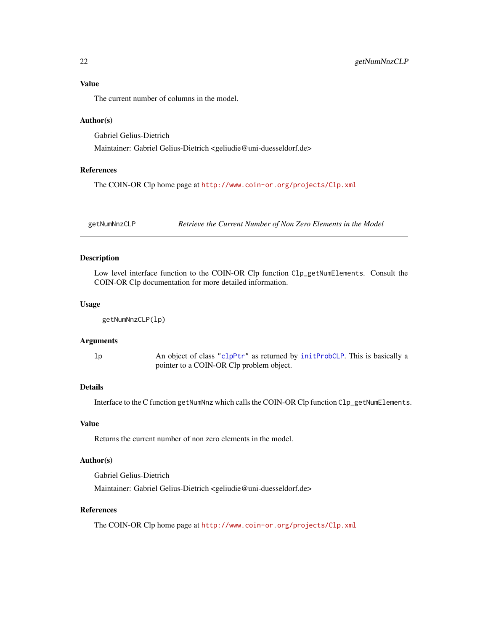# <span id="page-21-0"></span>Value

The current number of columns in the model.

### Author(s)

Gabriel Gelius-Dietrich

Maintainer: Gabriel Gelius-Dietrich <geliudie@uni-duesseldorf.de>

#### References

The COIN-OR Clp home page at <http://www.coin-or.org/projects/Clp.xml>

getNumNnzCLP *Retrieve the Current Number of Non Zero Elements in the Model*

# Description

Low level interface function to the COIN-OR Clp function Clp\_getNumElements. Consult the COIN-OR Clp documentation for more detailed information.

#### Usage

```
getNumNnzCLP(lp)
```
## Arguments

lp An object of class ["clpPtr"](#page-9-1) as returned by [initProbCLP](#page-31-1). This is basically a pointer to a COIN-OR Clp problem object.

### Details

Interface to the C function getNumNnz which calls the COIN-OR Clp function Clp\_getNumElements.

# Value

Returns the current number of non zero elements in the model.

### Author(s)

Gabriel Gelius-Dietrich

Maintainer: Gabriel Gelius-Dietrich <geliudie@uni-duesseldorf.de>

### References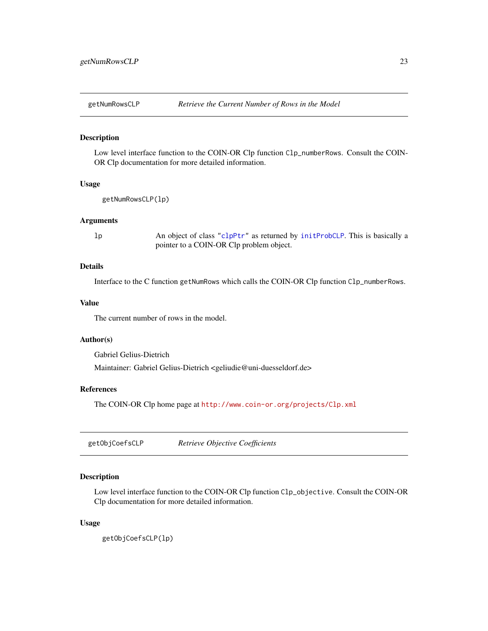<span id="page-22-0"></span>

Low level interface function to the COIN-OR Clp function C1p\_numberRows. Consult the COIN-OR Clp documentation for more detailed information.

### Usage

```
getNumRowsCLP(lp)
```
#### Arguments

lp An object of class ["clpPtr"](#page-9-1) as returned by [initProbCLP](#page-31-1). This is basically a pointer to a COIN-OR Clp problem object.

### Details

Interface to the C function getNumRows which calls the COIN-OR Clp function Clp\_numberRows.

### Value

The current number of rows in the model.

### Author(s)

Gabriel Gelius-Dietrich

Maintainer: Gabriel Gelius-Dietrich <geliudie@uni-duesseldorf.de>

### References

The COIN-OR Clp home page at <http://www.coin-or.org/projects/Clp.xml>

getObjCoefsCLP *Retrieve Objective Coefficients*

#### Description

Low level interface function to the COIN-OR Clp function Clp\_objective. Consult the COIN-OR Clp documentation for more detailed information.

#### Usage

getObjCoefsCLP(lp)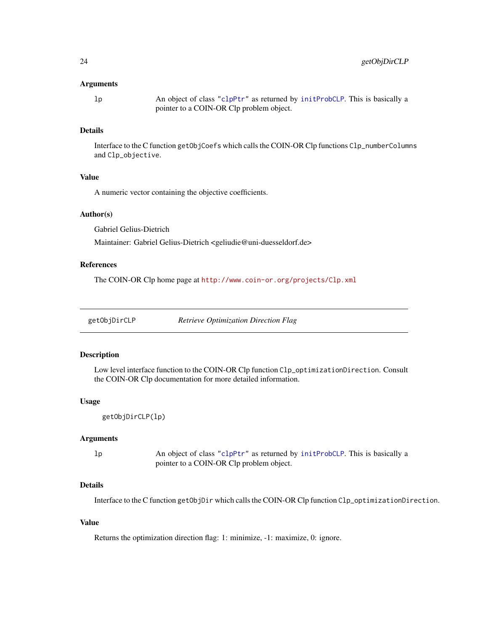#### <span id="page-23-0"></span>Arguments

lp An object of class ["clpPtr"](#page-9-1) as returned by [initProbCLP](#page-31-1). This is basically a pointer to a COIN-OR Clp problem object.

### Details

Interface to the C function getObjCoefs which calls the COIN-OR Clp functions Clp\_numberColumns and Clp\_objective.

### Value

A numeric vector containing the objective coefficients.

#### Author(s)

Gabriel Gelius-Dietrich

Maintainer: Gabriel Gelius-Dietrich <geliudie@uni-duesseldorf.de>

#### References

The COIN-OR Clp home page at <http://www.coin-or.org/projects/Clp.xml>

| getObjDirCLP |  | <b>Retrieve Optimization Direction Flag</b> |  |
|--------------|--|---------------------------------------------|--|
|              |  |                                             |  |

### Description

Low level interface function to the COIN-OR Clp function Clp\_optimizationDirection. Consult the COIN-OR Clp documentation for more detailed information.

#### Usage

```
getObjDirCLP(lp)
```
### Arguments

lp An object of class ["clpPtr"](#page-9-1) as returned by [initProbCLP](#page-31-1). This is basically a pointer to a COIN-OR Clp problem object.

### Details

Interface to the C function getObjDir which calls the COIN-OR Clp function Clp\_optimizationDirection.

### Value

Returns the optimization direction flag: 1: minimize, -1: maximize, 0: ignore.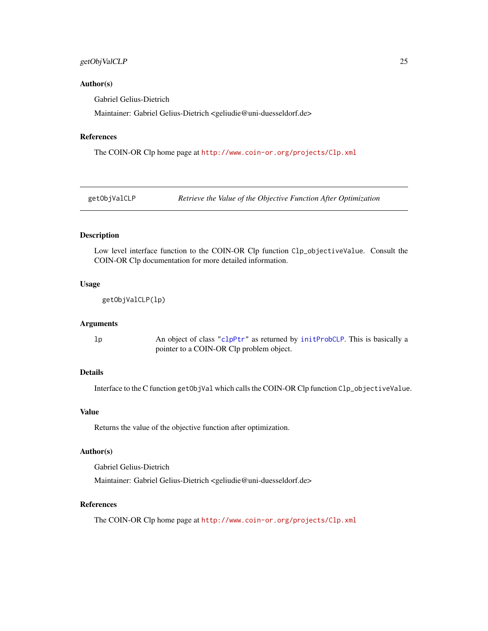### <span id="page-24-0"></span>getObjValCLP 25

#### Author(s)

Gabriel Gelius-Dietrich

Maintainer: Gabriel Gelius-Dietrich <geliudie@uni-duesseldorf.de>

#### References

The COIN-OR Clp home page at <http://www.coin-or.org/projects/Clp.xml>

getObjValCLP *Retrieve the Value of the Objective Function After Optimization*

#### Description

Low level interface function to the COIN-OR Clp function Clp\_objectiveValue. Consult the COIN-OR Clp documentation for more detailed information.

### Usage

getObjValCLP(lp)

#### Arguments

lp An object of class ["clpPtr"](#page-9-1) as returned by [initProbCLP](#page-31-1). This is basically a pointer to a COIN-OR Clp problem object.

# Details

Interface to the C function getObjVal which calls the COIN-OR Clp function Clp\_objectiveValue.

### Value

Returns the value of the objective function after optimization.

# Author(s)

Gabriel Gelius-Dietrich

Maintainer: Gabriel Gelius-Dietrich <geliudie@uni-duesseldorf.de>

### References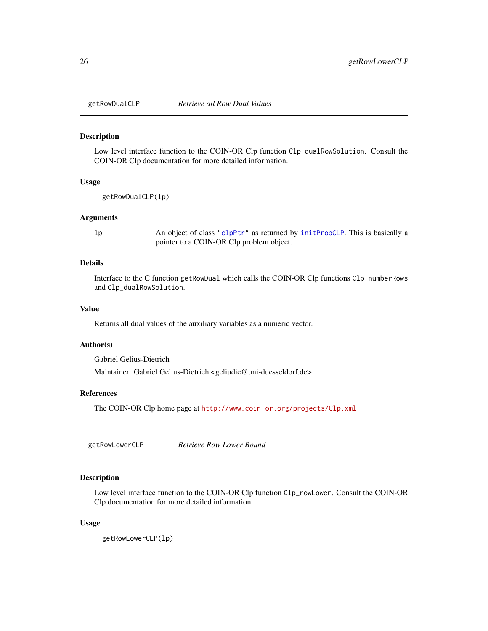<span id="page-25-0"></span>

Low level interface function to the COIN-OR Clp function Clp\_dualRowSolution. Consult the COIN-OR Clp documentation for more detailed information.

#### Usage

```
getRowDualCLP(lp)
```
#### Arguments

lp An object of class ["clpPtr"](#page-9-1) as returned by [initProbCLP](#page-31-1). This is basically a pointer to a COIN-OR Clp problem object.

### Details

Interface to the C function getRowDual which calls the COIN-OR Clp functions Clp\_numberRows and Clp\_dualRowSolution.

### Value

Returns all dual values of the auxiliary variables as a numeric vector.

#### Author(s)

Gabriel Gelius-Dietrich

Maintainer: Gabriel Gelius-Dietrich <geliudie@uni-duesseldorf.de>

### References

The COIN-OR Clp home page at <http://www.coin-or.org/projects/Clp.xml>

getRowLowerCLP *Retrieve Row Lower Bound*

# Description

Low level interface function to the COIN-OR Clp function Clp\_rowLower. Consult the COIN-OR Clp documentation for more detailed information.

#### Usage

getRowLowerCLP(lp)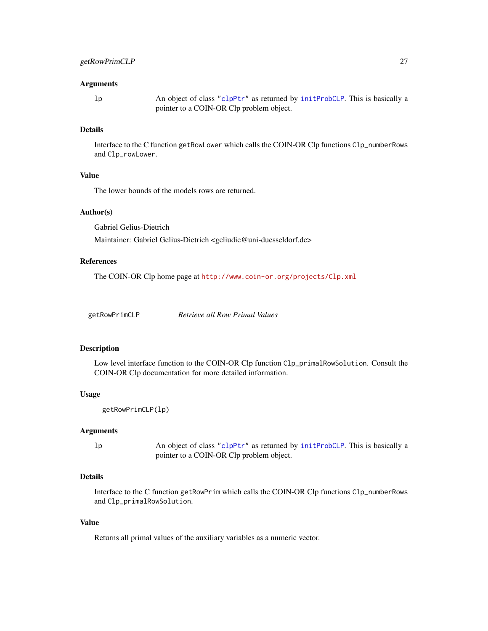#### <span id="page-26-0"></span>Arguments

lp An object of class ["clpPtr"](#page-9-1) as returned by [initProbCLP](#page-31-1). This is basically a pointer to a COIN-OR Clp problem object.

#### Details

Interface to the C function getRowLower which calls the COIN-OR Clp functions Clp\_numberRows and Clp\_rowLower.

# Value

The lower bounds of the models rows are returned.

#### Author(s)

Gabriel Gelius-Dietrich

Maintainer: Gabriel Gelius-Dietrich <geliudie@uni-duesseldorf.de>

# References

The COIN-OR Clp home page at <http://www.coin-or.org/projects/Clp.xml>

#### Description

Low level interface function to the COIN-OR Clp function Clp\_primalRowSolution. Consult the COIN-OR Clp documentation for more detailed information.

### Usage

```
getRowPrimCLP(lp)
```
#### Arguments

lp An object of class ["clpPtr"](#page-9-1) as returned by [initProbCLP](#page-31-1). This is basically a pointer to a COIN-OR Clp problem object.

### Details

Interface to the C function getRowPrim which calls the COIN-OR Clp functions Clp\_numberRows and Clp\_primalRowSolution.

### Value

Returns all primal values of the auxiliary variables as a numeric vector.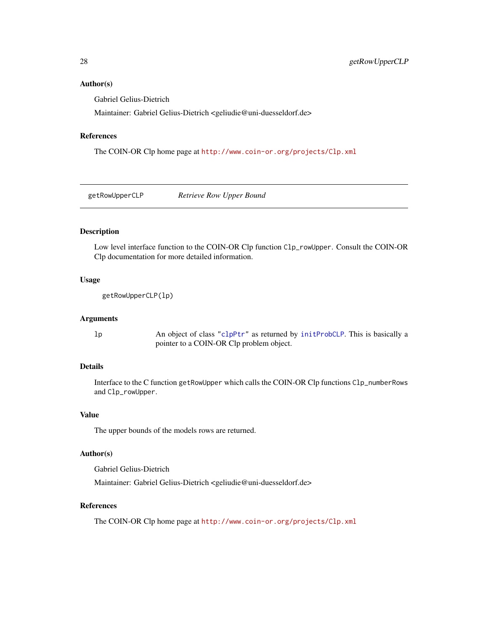### <span id="page-27-0"></span>Author(s)

Gabriel Gelius-Dietrich

Maintainer: Gabriel Gelius-Dietrich <geliudie@uni-duesseldorf.de>

#### References

The COIN-OR Clp home page at <http://www.coin-or.org/projects/Clp.xml>

getRowUpperCLP *Retrieve Row Upper Bound*

# Description

Low level interface function to the COIN-OR Clp function Clp\_rowUpper. Consult the COIN-OR Clp documentation for more detailed information.

### Usage

```
getRowUpperCLP(lp)
```
#### **Arguments**

lp An object of class ["clpPtr"](#page-9-1) as returned by [initProbCLP](#page-31-1). This is basically a pointer to a COIN-OR Clp problem object.

### Details

Interface to the C function getRowUpper which calls the COIN-OR Clp functions Clp\_numberRows and Clp\_rowUpper.

#### Value

The upper bounds of the models rows are returned.

#### Author(s)

Gabriel Gelius-Dietrich

Maintainer: Gabriel Gelius-Dietrich <geliudie@uni-duesseldorf.de>

### References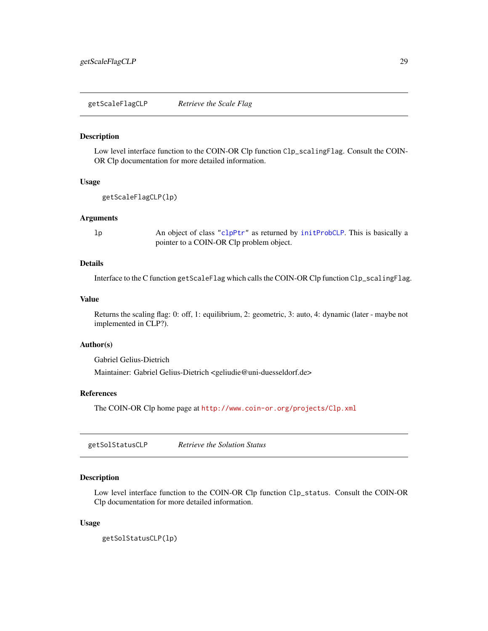<span id="page-28-0"></span>getScaleFlagCLP *Retrieve the Scale Flag*

#### Description

Low level interface function to the COIN-OR Clp function Clp\_scalingFlag. Consult the COIN-OR Clp documentation for more detailed information.

### Usage

```
getScaleFlagCLP(lp)
```
#### Arguments

lp An object of class ["clpPtr"](#page-9-1) as returned by [initProbCLP](#page-31-1). This is basically a pointer to a COIN-OR Clp problem object.

### Details

Interface to the C function getScaleFlag which calls the COIN-OR Clp function Clp\_scalingFlag.

#### Value

Returns the scaling flag: 0: off, 1: equilibrium, 2: geometric, 3: auto, 4: dynamic (later - maybe not implemented in CLP?).

#### Author(s)

Gabriel Gelius-Dietrich

Maintainer: Gabriel Gelius-Dietrich <geliudie@uni-duesseldorf.de>

### References

The COIN-OR Clp home page at <http://www.coin-or.org/projects/Clp.xml>

getSolStatusCLP *Retrieve the Solution Status*

### Description

Low level interface function to the COIN-OR Clp function Clp\_status. Consult the COIN-OR Clp documentation for more detailed information.

#### Usage

getSolStatusCLP(lp)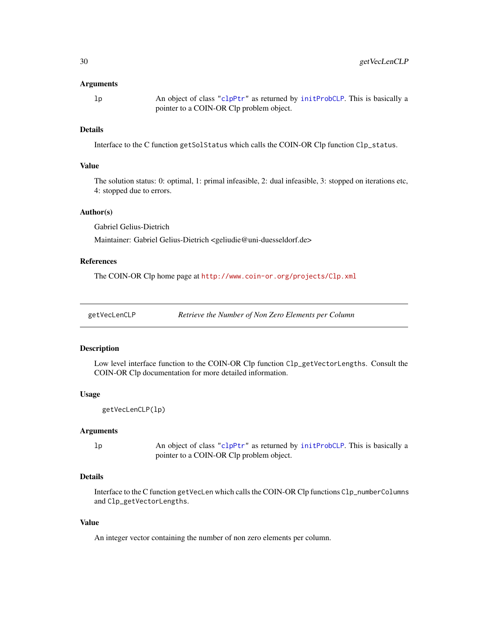#### <span id="page-29-0"></span>Arguments

lp An object of class ["clpPtr"](#page-9-1) as returned by [initProbCLP](#page-31-1). This is basically a pointer to a COIN-OR Clp problem object.

#### Details

Interface to the C function getSolStatus which calls the COIN-OR Clp function Clp\_status.

#### Value

The solution status: 0: optimal, 1: primal infeasible, 2: dual infeasible, 3: stopped on iterations etc, 4: stopped due to errors.

#### Author(s)

Gabriel Gelius-Dietrich

Maintainer: Gabriel Gelius-Dietrich <geliudie@uni-duesseldorf.de>

# References

The COIN-OR Clp home page at <http://www.coin-or.org/projects/Clp.xml>

getVecLenCLP *Retrieve the Number of Non Zero Elements per Column*

#### Description

Low level interface function to the COIN-OR Clp function Clp\_getVectorLengths. Consult the COIN-OR Clp documentation for more detailed information.

### Usage

```
getVecLenCLP(lp)
```
#### Arguments

lp An object of class ["clpPtr"](#page-9-1) as returned by [initProbCLP](#page-31-1). This is basically a pointer to a COIN-OR Clp problem object.

### Details

Interface to the C function getVecLen which calls the COIN-OR Clp functions Clp\_numberColumns and Clp\_getVectorLengths.

### Value

An integer vector containing the number of non zero elements per column.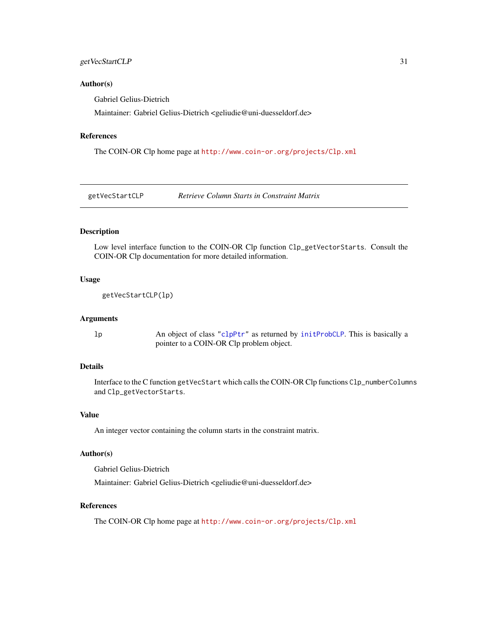### <span id="page-30-0"></span>getVecStartCLP 31

#### Author(s)

Gabriel Gelius-Dietrich

Maintainer: Gabriel Gelius-Dietrich <geliudie@uni-duesseldorf.de>

#### References

The COIN-OR Clp home page at <http://www.coin-or.org/projects/Clp.xml>

getVecStartCLP *Retrieve Column Starts in Constraint Matrix*

### Description

Low level interface function to the COIN-OR Clp function Clp\_getVectorStarts. Consult the COIN-OR Clp documentation for more detailed information.

### Usage

getVecStartCLP(lp)

#### Arguments

lp An object of class ["clpPtr"](#page-9-1) as returned by [initProbCLP](#page-31-1). This is basically a pointer to a COIN-OR Clp problem object.

### Details

Interface to the C function getVecStart which calls the COIN-OR Clp functions Clp\_numberColumns and Clp\_getVectorStarts.

#### Value

An integer vector containing the column starts in the constraint matrix.

#### Author(s)

Gabriel Gelius-Dietrich

Maintainer: Gabriel Gelius-Dietrich <geliudie@uni-duesseldorf.de>

### References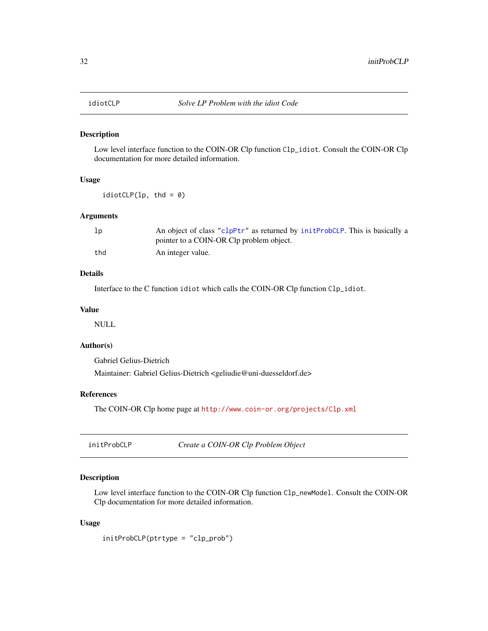<span id="page-31-0"></span>

Low level interface function to the COIN-OR Clp function Clp\_idiot. Consult the COIN-OR Clp documentation for more detailed information.

### Usage

 $idiotCLP(1p, thd = 0)$ 

### Arguments

| lp  | An object of class "clpPtr" as returned by initProbCLP. This is basically a |
|-----|-----------------------------------------------------------------------------|
|     | pointer to a COIN-OR Clp problem object.                                    |
| thd | An integer value.                                                           |

### Details

Interface to the C function idiot which calls the COIN-OR Clp function Clp\_idiot.

### Value

NULL

### Author(s)

Gabriel Gelius-Dietrich

Maintainer: Gabriel Gelius-Dietrich <geliudie@uni-duesseldorf.de>

# References

The COIN-OR Clp home page at <http://www.coin-or.org/projects/Clp.xml>

<span id="page-31-1"></span>initProbCLP *Create a COIN-OR Clp Problem Object*

### Description

Low level interface function to the COIN-OR Clp function Clp\_newModel. Consult the COIN-OR Clp documentation for more detailed information.

#### Usage

initProbCLP(ptrtype = "clp\_prob")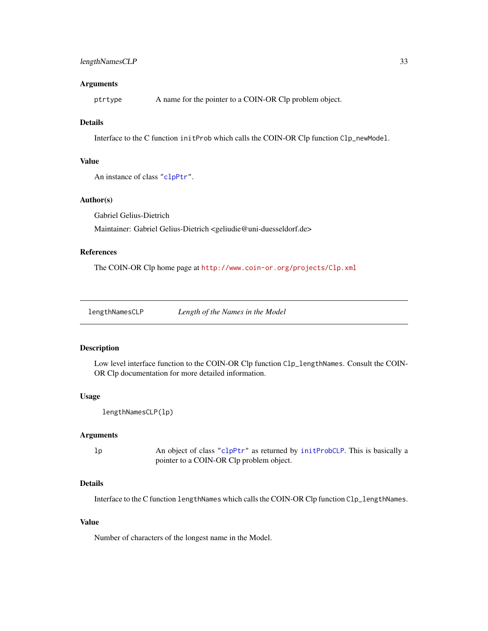#### <span id="page-32-0"></span>**Arguments**

ptrtype A name for the pointer to a COIN-OR Clp problem object.

### Details

Interface to the C function initProb which calls the COIN-OR Clp function Clp\_newModel.

#### Value

An instance of class ["clpPtr"](#page-9-1).

#### Author(s)

Gabriel Gelius-Dietrich

Maintainer: Gabriel Gelius-Dietrich <geliudie@uni-duesseldorf.de>

#### References

The COIN-OR Clp home page at <http://www.coin-or.org/projects/Clp.xml>

lengthNamesCLP *Length of the Names in the Model*

#### Description

Low level interface function to the COIN-OR Clp function Clp\_lengthNames. Consult the COIN-OR Clp documentation for more detailed information.

#### Usage

```
lengthNamesCLP(lp)
```
#### Arguments

lp An object of class ["clpPtr"](#page-9-1) as returned by [initProbCLP](#page-31-1). This is basically a pointer to a COIN-OR Clp problem object.

#### Details

Interface to the C function lengthNames which calls the COIN-OR Clp function Clp\_lengthNames.

### Value

Number of characters of the longest name in the Model.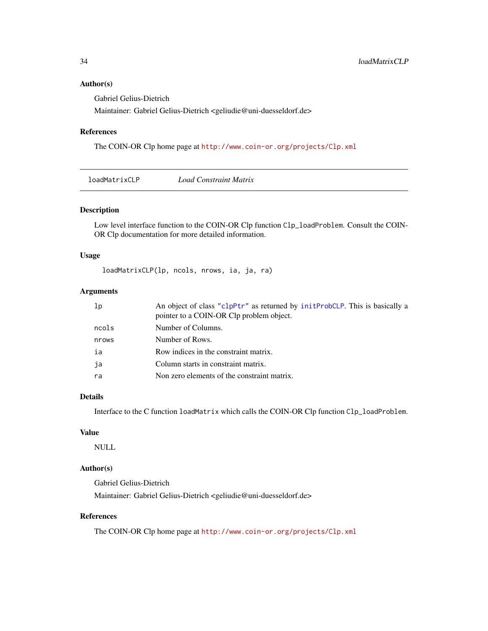### <span id="page-33-0"></span>Author(s)

Gabriel Gelius-Dietrich

Maintainer: Gabriel Gelius-Dietrich <geliudie@uni-duesseldorf.de>

### References

The COIN-OR Clp home page at <http://www.coin-or.org/projects/Clp.xml>

loadMatrixCLP *Load Constraint Matrix*

### Description

Low level interface function to the COIN-OR Clp function Clp\_loadProblem. Consult the COIN-OR Clp documentation for more detailed information.

### Usage

loadMatrixCLP(lp, ncols, nrows, ia, ja, ra)

### Arguments

| lp    | An object of class "clpPtr" as returned by initProbCLP. This is basically a<br>pointer to a COIN-OR Clp problem object. |
|-------|-------------------------------------------------------------------------------------------------------------------------|
| ncols | Number of Columns.                                                                                                      |
| nrows | Number of Rows.                                                                                                         |
| ia    | Row indices in the constraint matrix.                                                                                   |
| ja    | Column starts in constraint matrix.                                                                                     |
| ra    | Non zero elements of the constraint matrix.                                                                             |

### Details

Interface to the C function loadMatrix which calls the COIN-OR Clp function Clp\_loadProblem.

# Value

NULL

# Author(s)

Gabriel Gelius-Dietrich Maintainer: Gabriel Gelius-Dietrich <geliudie@uni-duesseldorf.de>

### References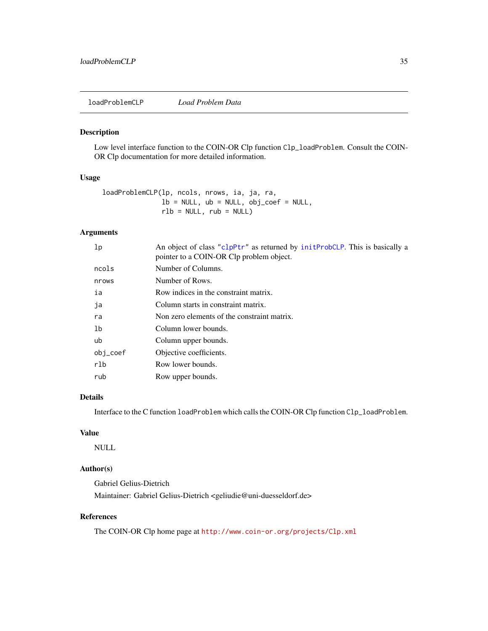<span id="page-34-0"></span>loadProblemCLP *Load Problem Data*

#### Description

Low level interface function to the COIN-OR Clp function Clp\_loadProblem. Consult the COIN-OR Clp documentation for more detailed information.

### Usage

```
loadProblemCLP(lp, ncols, nrows, ia, ja, ra,
               lb = NULL, ub = NULL, obj\_coef = NULL,
               rlb = NULL, rub = NULL)
```
# Arguments

| An object of class "clpPtr" as returned by initProbCLP. This is basically a<br>pointer to a COIN-OR Clp problem object. |
|-------------------------------------------------------------------------------------------------------------------------|
| Number of Columns.                                                                                                      |
| Number of Rows.                                                                                                         |
| Row indices in the constraint matrix.                                                                                   |
| Column starts in constraint matrix.                                                                                     |
| Non zero elements of the constraint matrix.                                                                             |
| Column lower bounds.                                                                                                    |
| Column upper bounds.                                                                                                    |
| Objective coefficients.                                                                                                 |
| Row lower bounds.                                                                                                       |
| Row upper bounds.                                                                                                       |
|                                                                                                                         |

#### Details

Interface to the C function loadProblem which calls the COIN-OR Clp function Clp\_loadProblem.

# Value

NULL

# Author(s)

Gabriel Gelius-Dietrich Maintainer: Gabriel Gelius-Dietrich <geliudie@uni-duesseldorf.de>

# References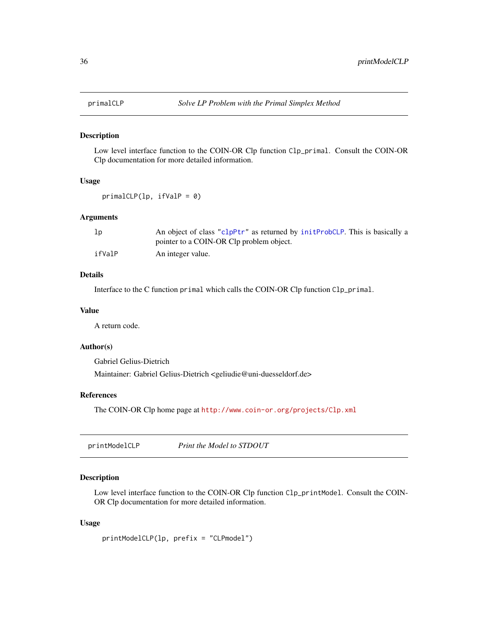<span id="page-35-0"></span>

Low level interface function to the COIN-OR Clp function Clp\_primal. Consult the COIN-OR Clp documentation for more detailed information.

#### Usage

primalCLP(lp, ifValP = 0)

### Arguments

| Тb     | An object of class "clpPtr" as returned by initervoluser. This is basically a |
|--------|-------------------------------------------------------------------------------|
|        | pointer to a COIN-OR Clp problem object.                                      |
| ifValP | An integer value.                                                             |

### Details

Interface to the C function primal which calls the COIN-OR Clp function Clp\_primal.

### Value

A return code.

### Author(s)

Gabriel Gelius-Dietrich

Maintainer: Gabriel Gelius-Dietrich <geliudie@uni-duesseldorf.de>

# References

The COIN-OR Clp home page at <http://www.coin-or.org/projects/Clp.xml>

| printModelCLP | Print the Model to STDOUT |
|---------------|---------------------------|
|---------------|---------------------------|

### Description

Low level interface function to the COIN-OR Clp function Clp\_printModel. Consult the COIN-OR Clp documentation for more detailed information.

#### Usage

printModelCLP(lp, prefix = "CLPmodel")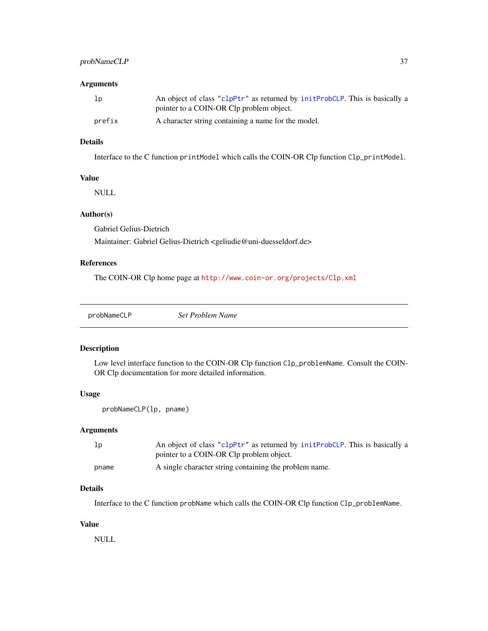### <span id="page-36-0"></span>probNameCLP 37

### Arguments

| 1p     | An object of class "clpPtr" as returned by initProbCLP. This is basically a |
|--------|-----------------------------------------------------------------------------|
|        | pointer to a COIN-OR Clp problem object.                                    |
| prefix | A character string containing a name for the model.                         |

# Details

Interface to the C function printModel which calls the COIN-OR Clp function Clp\_printModel.

### Value

NULL

# Author(s)

Gabriel Gelius-Dietrich

Maintainer: Gabriel Gelius-Dietrich <geliudie@uni-duesseldorf.de>

# References

The COIN-OR Clp home page at <http://www.coin-or.org/projects/Clp.xml>

probNameCLP *Set Problem Name*

#### Description

Low level interface function to the COIN-OR Clp function Clp\_problemName. Consult the COIN-OR Clp documentation for more detailed information.

# Usage

```
probNameCLP(lp, pname)
```
#### Arguments

| lp    | An object of class "clpPtr" as returned by initProbCLP. This is basically a |
|-------|-----------------------------------------------------------------------------|
|       | pointer to a COIN-OR Clp problem object.                                    |
| pname | A single character string containing the problem name.                      |

### Details

Interface to the C function probName which calls the COIN-OR Clp function Clp\_problemName.

### Value

NULL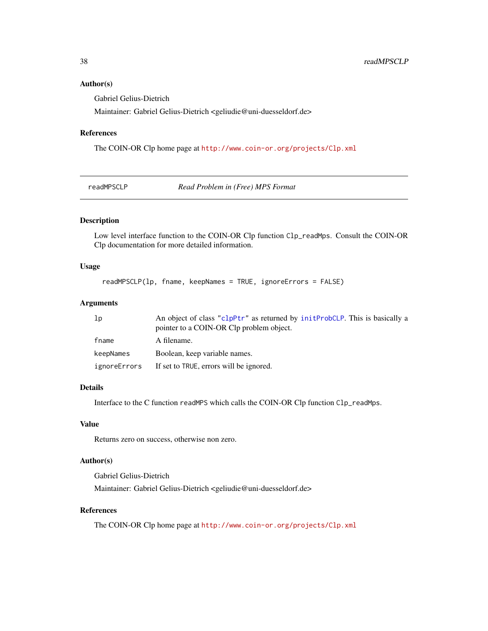### <span id="page-37-0"></span>Author(s)

Gabriel Gelius-Dietrich

Maintainer: Gabriel Gelius-Dietrich <geliudie@uni-duesseldorf.de>

### References

The COIN-OR Clp home page at <http://www.coin-or.org/projects/Clp.xml>

readMPSCLP *Read Problem in (Free) MPS Format*

#### Description

Low level interface function to the COIN-OR Clp function Clp\_readMps. Consult the COIN-OR Clp documentation for more detailed information.

### Usage

```
readMPSCLP(lp, fname, keepNames = TRUE, ignoreErrors = FALSE)
```
### Arguments

| 1p           | An object of class "clpPtr" as returned by initProbCLP. This is basically a<br>pointer to a COIN-OR Clp problem object. |
|--------------|-------------------------------------------------------------------------------------------------------------------------|
| fname        | A filename.                                                                                                             |
| keepNames    | Boolean, keep variable names.                                                                                           |
| ignoreErrors | If set to TRUE, errors will be ignored.                                                                                 |

### Details

Interface to the C function readMPS which calls the COIN-OR Clp function Clp\_readMps.

### Value

Returns zero on success, otherwise non zero.

# Author(s)

Gabriel Gelius-Dietrich Maintainer: Gabriel Gelius-Dietrich <geliudie@uni-duesseldorf.de>

### References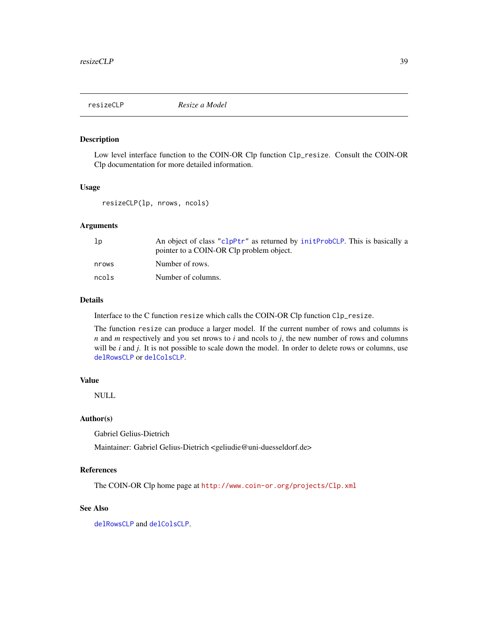<span id="page-38-0"></span>

Low level interface function to the COIN-OR Clp function Clp\_resize. Consult the COIN-OR Clp documentation for more detailed information.

#### Usage

```
resizeCLP(lp, nrows, ncols)
```
### Arguments

| lp    | An object of class "clpPtr" as returned by initervolustion. This is basically a<br>pointer to a COIN-OR Clp problem object. |
|-------|-----------------------------------------------------------------------------------------------------------------------------|
| nrows | Number of rows.                                                                                                             |
| ncols | Number of columns.                                                                                                          |

#### Details

Interface to the C function resize which calls the COIN-OR Clp function Clp\_resize.

The function resize can produce a larger model. If the current number of rows and columns is *n* and *m* respectively and you set nrows to *i* and ncols to *j*, the new number of rows and columns will be *i* and *j*. It is not possible to scale down the model. In order to delete rows or columns, use [delRowsCLP](#page-12-1) or [delColsCLP](#page-11-1).

#### Value

NULL

### Author(s)

Gabriel Gelius-Dietrich

Maintainer: Gabriel Gelius-Dietrich <geliudie@uni-duesseldorf.de>

### References

The COIN-OR Clp home page at <http://www.coin-or.org/projects/Clp.xml>

# See Also

[delRowsCLP](#page-12-1) and [delColsCLP](#page-11-1).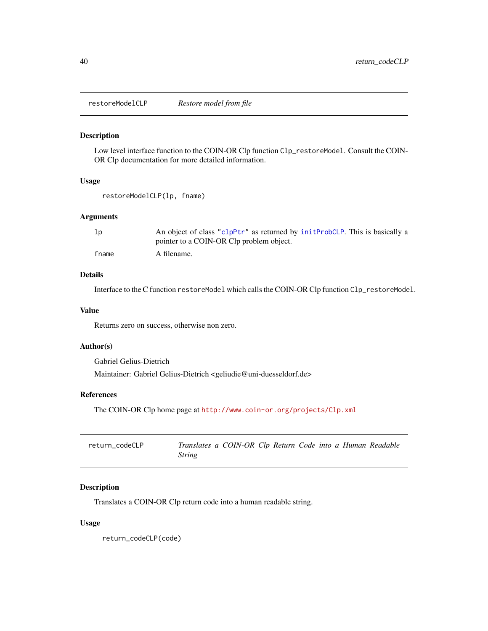<span id="page-39-0"></span>restoreModelCLP *Restore model from file*

### Description

Low level interface function to the COIN-OR Clp function Clp\_restoreModel. Consult the COIN-OR Clp documentation for more detailed information.

### Usage

```
restoreModelCLP(lp, fname)
```
### Arguments

| 1 <sub>p</sub> | An object of class "clpPtr" as returned by initProbCLP. This is basically a |
|----------------|-----------------------------------------------------------------------------|
|                | pointer to a COIN-OR Clp problem object.                                    |
| fname          | A filename.                                                                 |

### Details

Interface to the C function restoreModel which calls the COIN-OR Clp function Clp\_restoreModel.

#### Value

Returns zero on success, otherwise non zero.

### Author(s)

Gabriel Gelius-Dietrich

Maintainer: Gabriel Gelius-Dietrich <geliudie@uni-duesseldorf.de>

# References

The COIN-OR Clp home page at <http://www.coin-or.org/projects/Clp.xml>

| return codeCLP | Translates a COIN-OR Clp Return Code into a Human Readable |  |  |  |  |
|----------------|------------------------------------------------------------|--|--|--|--|
|                | <i><b>String</b></i>                                       |  |  |  |  |

### Description

Translates a COIN-OR Clp return code into a human readable string.

#### Usage

return\_codeCLP(code)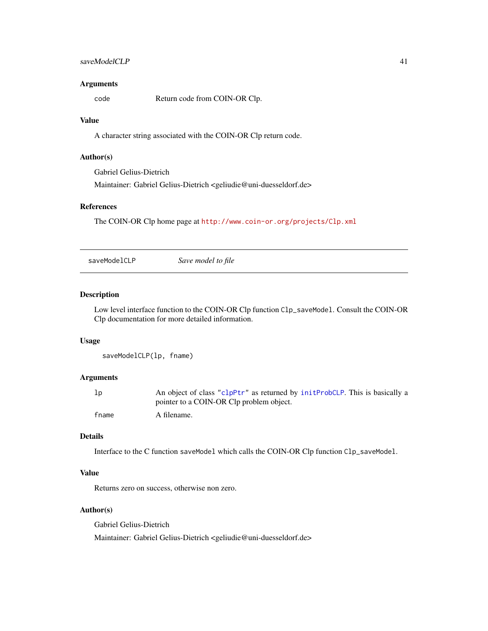### <span id="page-40-0"></span>saveModelCLP 41

#### **Arguments**

code Return code from COIN-OR Clp.

### Value

A character string associated with the COIN-OR Clp return code.

# Author(s)

Gabriel Gelius-Dietrich

Maintainer: Gabriel Gelius-Dietrich <geliudie@uni-duesseldorf.de>

# References

The COIN-OR Clp home page at <http://www.coin-or.org/projects/Clp.xml>

saveModelCLP *Save model to file*

### Description

Low level interface function to the COIN-OR Clp function Clp\_saveModel. Consult the COIN-OR Clp documentation for more detailed information.

### Usage

```
saveModelCLP(lp, fname)
```
### Arguments

| lp    | An object of class "clpPtr" as returned by initProbCLP. This is basically a |
|-------|-----------------------------------------------------------------------------|
|       | pointer to a COIN-OR Clp problem object.                                    |
| fname | A filename.                                                                 |

# Details

Interface to the C function saveModel which calls the COIN-OR Clp function Clp\_saveModel.

### Value

Returns zero on success, otherwise non zero.

### Author(s)

Gabriel Gelius-Dietrich Maintainer: Gabriel Gelius-Dietrich <geliudie@uni-duesseldorf.de>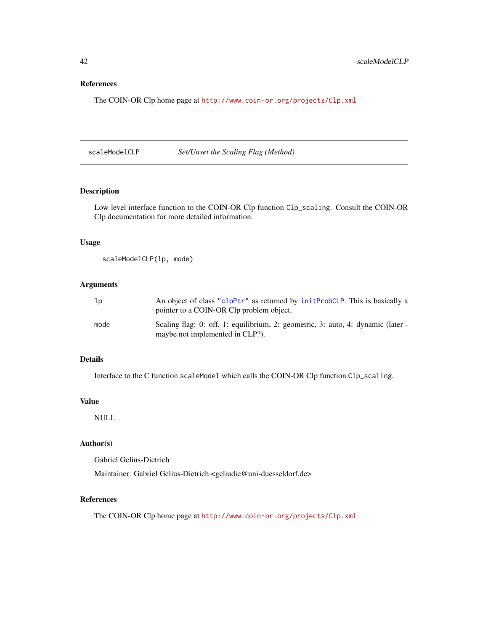### References

The COIN-OR Clp home page at <http://www.coin-or.org/projects/Clp.xml>

scaleModelCLP *Set/Unset the Scaling Flag (Method)*

### Description

Low level interface function to the COIN-OR Clp function Clp\_scaling. Consult the COIN-OR Clp documentation for more detailed information.

### Usage

scaleModelCLP(lp, mode)

# Arguments

| 1p   | An object of class "clpPtr" as returned by initervoluser. This is basically a<br>pointer to a COIN-OR Clp problem object. |
|------|---------------------------------------------------------------------------------------------------------------------------|
| mode | Scaling flag: 0: off, 1: equilibrium, 2: geometric, 3: auto, 4: dynamic (later -<br>maybe not implemented in CLP?).       |

# Details

Interface to the C function scaleModel which calls the COIN-OR Clp function Clp\_scaling.

#### Value

NULL

# Author(s)

Gabriel Gelius-Dietrich

Maintainer: Gabriel Gelius-Dietrich <geliudie@uni-duesseldorf.de>

# References

<span id="page-41-0"></span>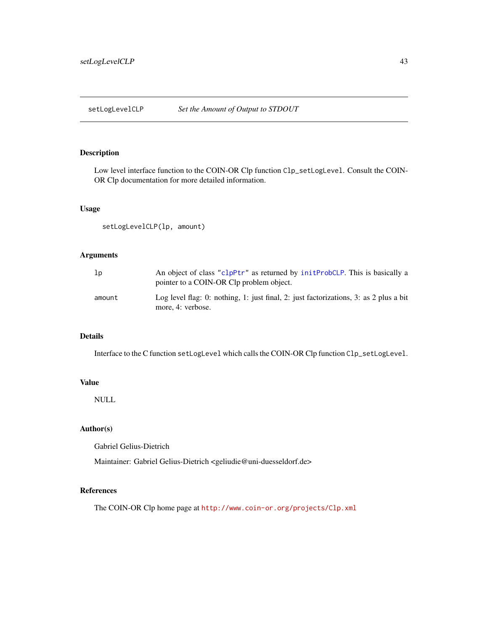<span id="page-42-0"></span>

Low level interface function to the COIN-OR Clp function Clp\_setLogLevel. Consult the COIN-OR Clp documentation for more detailed information.

### Usage

setLogLevelCLP(lp, amount)

### Arguments

| lp     | An object of class "clpPtr" as returned by initervolustion. This is basically a<br>pointer to a COIN-OR Clp problem object. |
|--------|-----------------------------------------------------------------------------------------------------------------------------|
| amount | Log level flag: 0: nothing, 1: just final, 2: just factorizations, 3: as 2 plus a bit<br>more, 4: verbose.                  |

# Details

Interface to the C function setLogLevel which calls the COIN-OR Clp function Clp\_setLogLevel.

### Value

NULL

# Author(s)

Gabriel Gelius-Dietrich

Maintainer: Gabriel Gelius-Dietrich <geliudie@uni-duesseldorf.de>

### References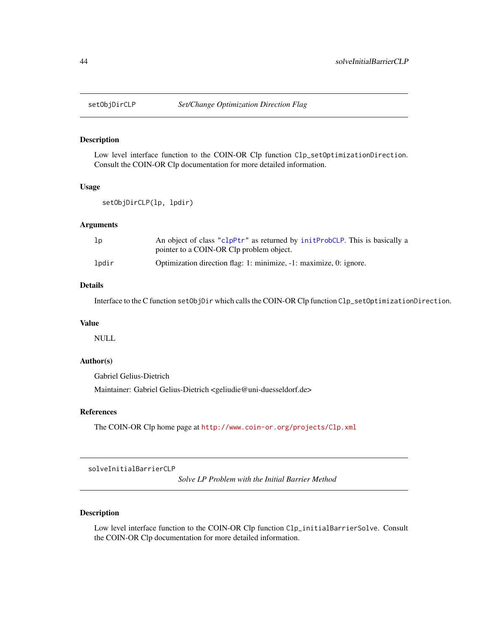<span id="page-43-0"></span>

Low level interface function to the COIN-OR Clp function Clp\_setOptimizationDirection. Consult the COIN-OR Clp documentation for more detailed information.

### Usage

```
setObjDirCLP(lp, lpdir)
```
#### Arguments

| lp    | An object of class "clpPtr" as returned by initProbCLP. This is basically a |
|-------|-----------------------------------------------------------------------------|
|       | pointer to a COIN-OR Clp problem object.                                    |
| lpdir | Optimization direction flag: 1: minimize, -1: maximize, 0: ignore.          |

### Details

Interface to the C function setObjDir which calls the COIN-OR Clp function Clp\_setOptimizationDirection.

### Value

NULL

## Author(s)

Gabriel Gelius-Dietrich

Maintainer: Gabriel Gelius-Dietrich <geliudie@uni-duesseldorf.de>

### References

The COIN-OR Clp home page at <http://www.coin-or.org/projects/Clp.xml>

solveInitialBarrierCLP

*Solve LP Problem with the Initial Barrier Method*

### Description

Low level interface function to the COIN-OR Clp function Clp\_initialBarrierSolve. Consult the COIN-OR Clp documentation for more detailed information.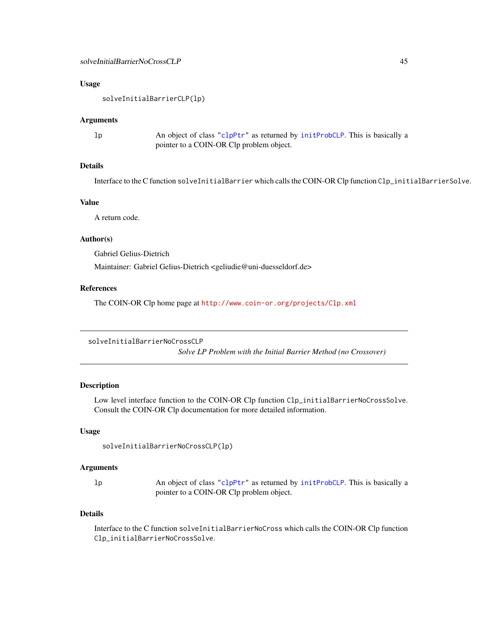### <span id="page-44-0"></span>Usage

solveInitialBarrierCLP(lp)

#### Arguments

| Тb | An object of class "clpPtr" as returned by initProbCLP. This is basically a |
|----|-----------------------------------------------------------------------------|
|    | pointer to a COIN-OR Clp problem object.                                    |

### Details

Interface to the C function solveInitialBarrier which calls the COIN-OR Clp function Clp\_initialBarrierSolve.

### Value

A return code.

#### Author(s)

Gabriel Gelius-Dietrich

Maintainer: Gabriel Gelius-Dietrich <geliudie@uni-duesseldorf.de>

### References

The COIN-OR Clp home page at <http://www.coin-or.org/projects/Clp.xml>

solveInitialBarrierNoCrossCLP

*Solve LP Problem with the Initial Barrier Method (no Crossover)*

### Description

Low level interface function to the COIN-OR Clp function Clp\_initialBarrierNoCrossSolve. Consult the COIN-OR Clp documentation for more detailed information.

### Usage

```
solveInitialBarrierNoCrossCLP(lp)
```
#### Arguments

lp An object of class ["clpPtr"](#page-9-1) as returned by [initProbCLP](#page-31-1). This is basically a pointer to a COIN-OR Clp problem object.

### Details

Interface to the C function solveInitialBarrierNoCross which calls the COIN-OR Clp function Clp\_initialBarrierNoCrossSolve.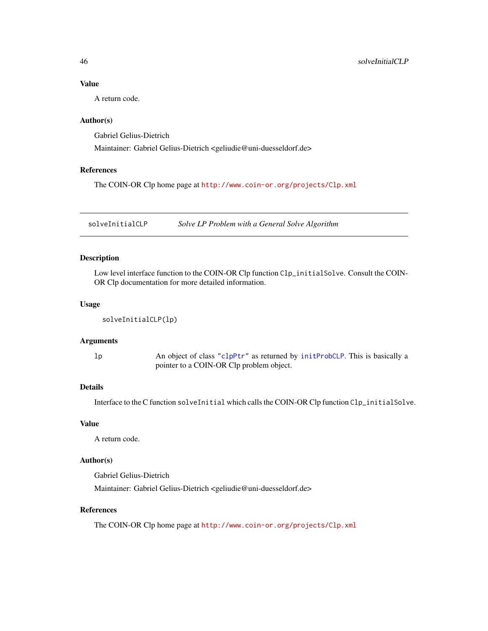### Value

A return code.

### Author(s)

Gabriel Gelius-Dietrich

Maintainer: Gabriel Gelius-Dietrich <geliudie@uni-duesseldorf.de>

#### References

The COIN-OR Clp home page at <http://www.coin-or.org/projects/Clp.xml>

solveInitialCLP *Solve LP Problem with a General Solve Algorithm*

# Description

Low level interface function to the COIN-OR Clp function Clp\_initialSolve. Consult the COIN-OR Clp documentation for more detailed information.

#### Usage

```
solveInitialCLP(lp)
```
## Arguments

lp An object of class ["clpPtr"](#page-9-1) as returned by [initProbCLP](#page-31-1). This is basically a pointer to a COIN-OR Clp problem object.

# Details

Interface to the C function solveInitial which calls the COIN-OR Clp function Clp\_initialSolve.

### Value

A return code.

# Author(s)

Gabriel Gelius-Dietrich

Maintainer: Gabriel Gelius-Dietrich <geliudie@uni-duesseldorf.de>

# References

<span id="page-45-0"></span>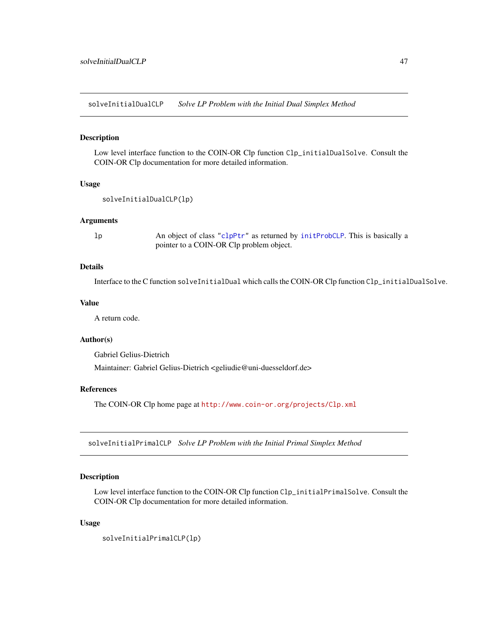<span id="page-46-0"></span>solveInitialDualCLP *Solve LP Problem with the Initial Dual Simplex Method*

#### Description

Low level interface function to the COIN-OR Clp function Clp\_initialDualSolve. Consult the COIN-OR Clp documentation for more detailed information.

# Usage

```
solveInitialDualCLP(lp)
```
#### Arguments

lp An object of class ["clpPtr"](#page-9-1) as returned by [initProbCLP](#page-31-1). This is basically a pointer to a COIN-OR Clp problem object.

### Details

Interface to the C function solveInitialDual which calls the COIN-OR Clp function Clp\_initialDualSolve.

### Value

A return code.

### Author(s)

Gabriel Gelius-Dietrich

Maintainer: Gabriel Gelius-Dietrich <geliudie@uni-duesseldorf.de>

### References

The COIN-OR Clp home page at <http://www.coin-or.org/projects/Clp.xml>

solveInitialPrimalCLP *Solve LP Problem with the Initial Primal Simplex Method*

#### Description

Low level interface function to the COIN-OR Clp function Clp\_initialPrimalSolve. Consult the COIN-OR Clp documentation for more detailed information.

#### Usage

solveInitialPrimalCLP(lp)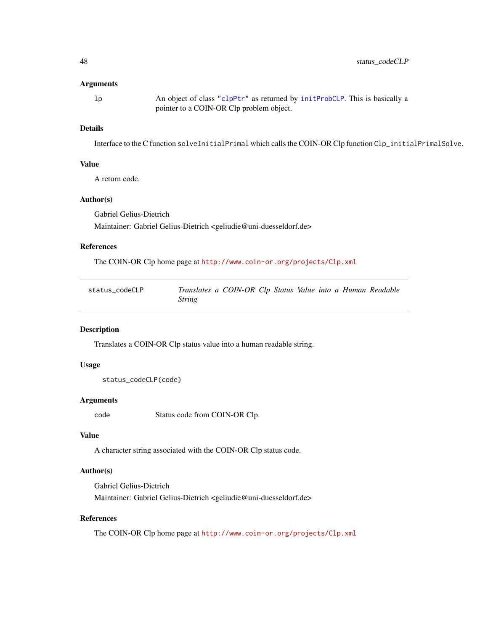### <span id="page-47-0"></span>**Arguments**

lp An object of class ["clpPtr"](#page-9-1) as returned by [initProbCLP](#page-31-1). This is basically a pointer to a COIN-OR Clp problem object.

### Details

Interface to the C function solveInitialPrimal which calls the COIN-OR Clp function Clp\_initialPrimalSolve.

#### Value

A return code.

### Author(s)

Gabriel Gelius-Dietrich Maintainer: Gabriel Gelius-Dietrich <geliudie@uni-duesseldorf.de>

### References

The COIN-OR Clp home page at <http://www.coin-or.org/projects/Clp.xml>

| status codeCLP | Translates a COIN-OR Clp Status Value into a Human Readable |  |  |  |  |
|----------------|-------------------------------------------------------------|--|--|--|--|
|                | <i>String</i>                                               |  |  |  |  |

### Description

Translates a COIN-OR Clp status value into a human readable string.

### Usage

```
status_codeCLP(code)
```
### Arguments

code Status code from COIN-OR Clp.

#### Value

A character string associated with the COIN-OR Clp status code.

### Author(s)

Gabriel Gelius-Dietrich Maintainer: Gabriel Gelius-Dietrich <geliudie@uni-duesseldorf.de>

### References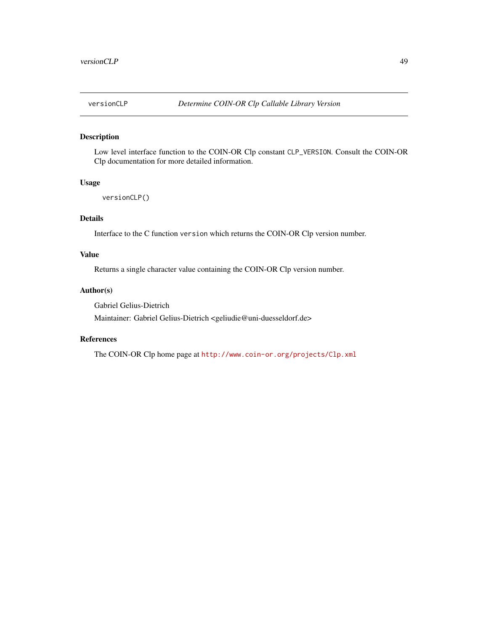<span id="page-48-0"></span>

Low level interface function to the COIN-OR Clp constant CLP\_VERSION. Consult the COIN-OR Clp documentation for more detailed information.

#### Usage

```
versionCLP()
```
# Details

Interface to the C function version which returns the COIN-OR Clp version number.

### Value

Returns a single character value containing the COIN-OR Clp version number.

### Author(s)

Gabriel Gelius-Dietrich

Maintainer: Gabriel Gelius-Dietrich <geliudie@uni-duesseldorf.de>

### References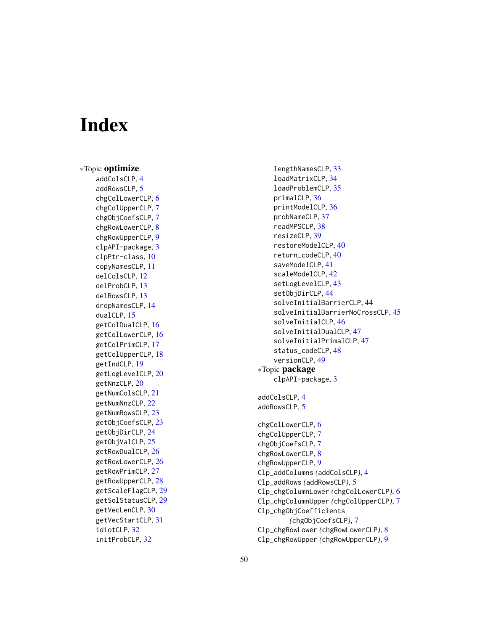# <span id="page-49-0"></span>Index

∗Topic optimize addColsCLP , [4](#page-3-0) addRowsCLP, [5](#page-4-0) chgColLowerCLP , [6](#page-5-0) chgColUpperCLP , [7](#page-6-0) chgObjCoefsCLP , [7](#page-6-0) chgRowLowerCLP , [8](#page-7-0) chgRowUpperCLP , [9](#page-8-0) clpAPI-package , [3](#page-2-0) clpPtr-class , [10](#page-9-0) copyNamesCLP , [11](#page-10-0) delColsCLP , [12](#page-11-0) delProbCLP , [13](#page-12-0) delRowsCLP , [13](#page-12-0) dropNamesCLP , [14](#page-13-0) dualCLP, [15](#page-14-0) getColDualCLP, [16](#page-15-0) getColLowerCLP, [16](#page-15-0) getColPrimCLP , [17](#page-16-0) getColUpperCLP , [18](#page-17-0) getIndCLP , [19](#page-18-0) getLogLevelCLP, [20](#page-19-0) getNnzCLP , [20](#page-19-0) getNumColsCLP , [21](#page-20-0) getNumNnzCLP , [22](#page-21-0) getNumRowsCLP, [23](#page-22-0) getObjCoefsCLP , [23](#page-22-0) getObjDirCLP , [24](#page-23-0) getObjValCLP, [25](#page-24-0) getRowDualCLP, [26](#page-25-0) getRowLowerCLP, [26](#page-25-0) getRowPrimCLP, [27](#page-26-0) getRowUpperCLP , [28](#page-27-0) getScaleFlagCLP , [29](#page-28-0) getSolStatusCLP , [29](#page-28-0) getVecLenCLP, [30](#page-29-0) getVecStartCLP , [31](#page-30-0) idiotCLP, [32](#page-31-0) initProbCLP , [32](#page-31-0)

lengthNamesCLP , [33](#page-32-0) loadMatrixCLP , [34](#page-33-0) loadProblemCLP , [35](#page-34-0) primalCLP, [36](#page-35-0) printModelCLP , [36](#page-35-0) probNameCLP , [37](#page-36-0) readMPSCLP , [38](#page-37-0) resizeCLP , [39](#page-38-0) restoreModelCLP , [40](#page-39-0) return\_codeCLP , [40](#page-39-0) saveModelCLP , [41](#page-40-0) scaleModelCLP , [42](#page-41-0) setLogLevelCLP, [43](#page-42-0) setObjDirCLP , [44](#page-43-0) solveInitialBarrierCLP , [44](#page-43-0) solveInitialBarrierNoCrossCLP , [45](#page-44-0) solveInitialCLP , [46](#page-45-0) solveInitialDualCLP , [47](#page-46-0) solveInitialPrimalCLP , [47](#page-46-0) status\_codeCLP, [48](#page-47-0) versionCLP , [49](#page-48-0) ∗Topic package clpAPI-package , [3](#page-2-0) addColsCLP , [4](#page-3-0) addRowsCLP, [5](#page-4-0) chgColLowerCLP , [6](#page-5-0) chgColUpperCLP , [7](#page-6-0) chgObjCoefsCLP , [7](#page-6-0) chgRowLowerCLP , [8](#page-7-0) chgRowUpperCLP , [9](#page-8-0) Clp\_addColumns *(*addColsCLP *)* , [4](#page-3-0) Clp\_addRows *(*addRowsCLP *)* , [5](#page-4-0) Clp\_chgColumnLower *(*chgColLowerCLP *)* , [6](#page-5-0) Clp\_chgColumnUpper *(*chgColUpperCLP *)* , [7](#page-6-0) Clp\_chgObjCoefficients *(*chgObjCoefsCLP *)* , [7](#page-6-0) Clp\_chgRowLower *(*chgRowLowerCLP *)* , [8](#page-7-0) Clp\_chgRowUpper *(*chgRowUpperCLP *)* , [9](#page-8-0)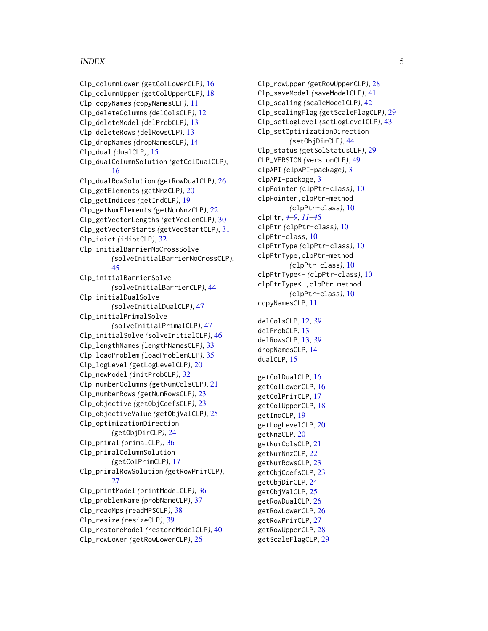### $I<sub>N</sub>$  in  $I<sub>N</sub>$  is  $I<sub>N</sub>$  in  $I<sub>N</sub>$  in  $I<sub>N</sub>$  in  $I<sub>N</sub>$  in  $I<sub>N</sub>$  in  $I<sub>N</sub>$  in  $I<sub>N</sub>$  in  $I<sub>N</sub>$  in  $I<sub>N</sub>$  in  $I<sub>N</sub>$  in  $I<sub>N</sub>$  in  $I<sub>N</sub>$  in  $I<sub>N</sub>$  in  $I<sub>N</sub>$  in  $I<sub>N</sub>$  in

```
Clp_columnLower (getColLowerCLP), 16
Clp_columnUpper (getColUpperCLP), 18
Clp_copyNames (copyNamesCLP), 11
Clp_deleteColumns (delColsCLP), 12
Clp_deleteModel (delProbCLP), 13
Clp_deleteRows (delRowsCLP), 13
Clp_dropNames (dropNamesCLP), 14
Clp_dual (dualCLP), 15
Clp_dualColumnSolution (getColDualCLP),
        16
Clp_dualRowSolution (getRowDualCLP), 26
Clp_getElements (getNnzCLP), 20
Clp_getIndices (getIndCLP), 19
Clp_getNumElements (getNumNnzCLP), 22
Clp_getVectorLengths (getVecLenCLP), 30
Clp_getVectorStarts (getVecStartCLP), 31
Clp_idiot (idiotCLP), 32
Clp_initialBarrierNoCrossSolve
        (solveInitialBarrierNoCrossCLP),
        45
Clp_initialBarrierSolve
        (solveInitialBarrierCLP), 44
Clp_initialDualSolve
        (solveInitialDualCLP), 47
Clp_initialPrimalSolve
        (solveInitialPrimalCLP), 47
Clp_initialSolve (solveInitialCLP), 46
Clp_lengthNames (lengthNamesCLP), 33
Clp_loadProblem (loadProblemCLP), 35
Clp_logLevel (getLogLevelCLP), 20
Clp_newModel (initProbCLP), 32
Clp_numberColumns (getNumColsCLP), 21
Clp_numberRows (getNumRowsCLP), 23
Clp_objective (getObjCoefsCLP), 23
Clp_objectiveValue (getObjValCLP), 25
Clp_optimizationDirection
        (getObjDirCLP), 24
Clp_primal (primalCLP), 36
Clp_primalColumnSolution
        (getColPrimCLP), 17
Clp_primalRowSolution (getRowPrimCLP),
        27
Clp_printModel (printModelCLP), 36
Clp_problemName (probNameCLP), 37
Clp_readMps (readMPSCLP), 38
Clp_resize (resizeCLP), 39
Clp_restoreModel (restoreModelCLP), 40
Clp_rowLower (getRowLowerCLP), 26
```
Clp\_rowUpper *(*getRowUpperCLP*)*, [28](#page-27-0) Clp\_saveModel *(*saveModelCLP*)*, [41](#page-40-0) Clp\_scaling *(*scaleModelCLP*)*, [42](#page-41-0) Clp\_scalingFlag *(*getScaleFlagCLP*)*, [29](#page-28-0) Clp\_setLogLevel *(*setLogLevelCLP*)*, [43](#page-42-0) Clp\_setOptimizationDirection *(*setObjDirCLP*)*, [44](#page-43-0) Clp\_status *(*getSolStatusCLP*)*, [29](#page-28-0) CLP\_VERSION *(*versionCLP*)*, [49](#page-48-0) clpAPI *(*clpAPI-package*)*, [3](#page-2-0) clpAPI-package, [3](#page-2-0) clpPointer *(*clpPtr-class*)*, [10](#page-9-0) clpPointer,clpPtr-method *(*clpPtr-class*)*, [10](#page-9-0) clpPtr, *[4](#page-3-0)[–9](#page-8-0)*, *[11](#page-10-0)[–48](#page-47-0)* clpPtr *(*clpPtr-class*)*, [10](#page-9-0) clpPtr-class, [10](#page-9-0) clpPtrType *(*clpPtr-class*)*, [10](#page-9-0) clpPtrType,clpPtr-method *(*clpPtr-class*)*, [10](#page-9-0) clpPtrType<- *(*clpPtr-class*)*, [10](#page-9-0) clpPtrType<-,clpPtr-method *(*clpPtr-class*)*, [10](#page-9-0) copyNamesCLP, [11](#page-10-0) delColsCLP, [12,](#page-11-0) *[39](#page-38-0)* delProbCLP, [13](#page-12-0) delRowsCLP, [13,](#page-12-0) *[39](#page-38-0)* dropNamesCLP, [14](#page-13-0) dualCLP, [15](#page-14-0) getColDualCLP, [16](#page-15-0) getColLowerCLP, [16](#page-15-0) getColPrimCLP, [17](#page-16-0) getColUpperCLP, [18](#page-17-0) getIndCLP, [19](#page-18-0) getLogLevelCLP, [20](#page-19-0) getNnzCLP, [20](#page-19-0) getNumColsCLP, [21](#page-20-0) getNumNnzCLP, [22](#page-21-0) getNumRowsCLP, [23](#page-22-0) getObjCoefsCLP, [23](#page-22-0) getObjDirCLP, [24](#page-23-0) getObjValCLP, [25](#page-24-0) getRowDualCLP, [26](#page-25-0) getRowLowerCLP, [26](#page-25-0) getRowPrimCLP, [27](#page-26-0) getRowUpperCLP, [28](#page-27-0) getScaleFlagCLP, [29](#page-28-0)